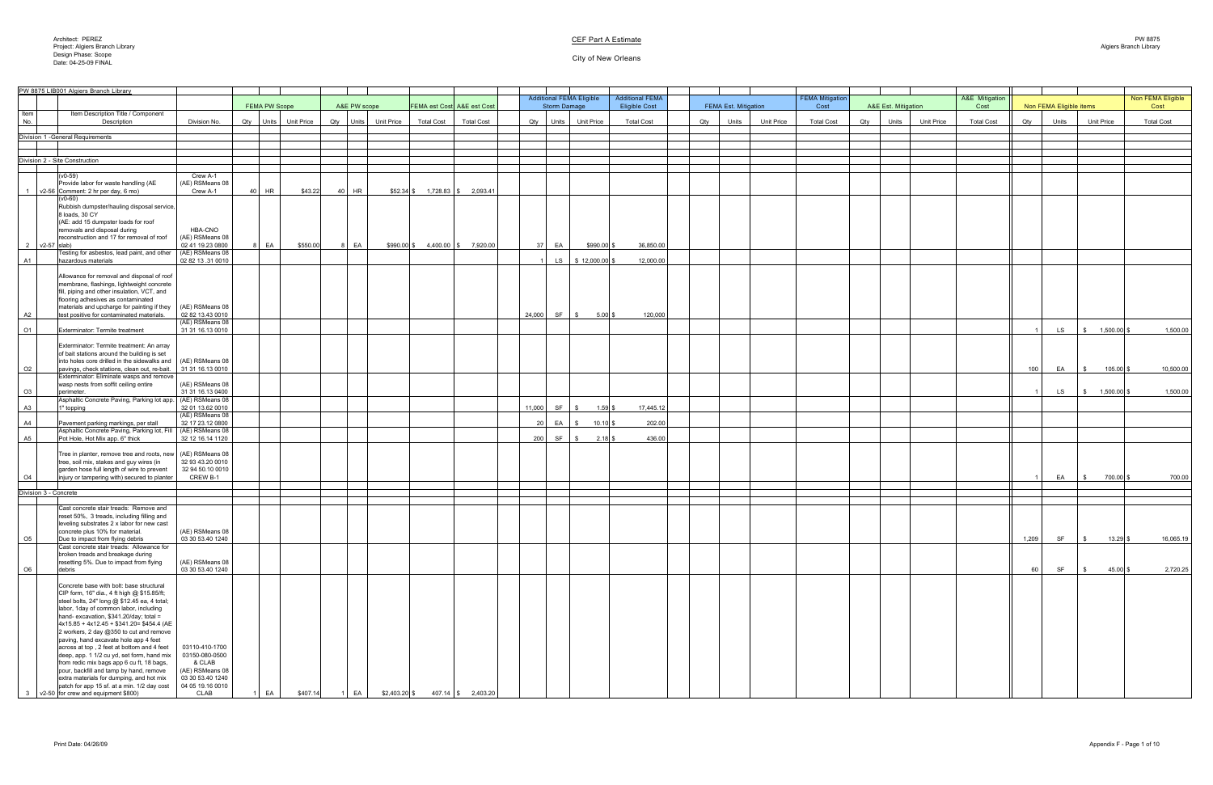Architect: PEREZ Project: Algiers Branch Library Design Phase: Scope Date: 04-25-09 FINAL

#### City of New Orleans

|                  | PW 8875 LIB001 Algiers Branch Library                                                                                                                                                                                                                                                                                                                                                                                                                                                                                                                                                                                                            |                                                                                                       |                      |                          |              |                   |                   |                                       |     |                     |                                 |                                                |     |                             |                   |                                |                                   |                        |       |                         |                       |                           |
|------------------|--------------------------------------------------------------------------------------------------------------------------------------------------------------------------------------------------------------------------------------------------------------------------------------------------------------------------------------------------------------------------------------------------------------------------------------------------------------------------------------------------------------------------------------------------------------------------------------------------------------------------------------------------|-------------------------------------------------------------------------------------------------------|----------------------|--------------------------|--------------|-------------------|-------------------|---------------------------------------|-----|---------------------|---------------------------------|------------------------------------------------|-----|-----------------------------|-------------------|--------------------------------|-----------------------------------|------------------------|-------|-------------------------|-----------------------|---------------------------|
|                  |                                                                                                                                                                                                                                                                                                                                                                                                                                                                                                                                                                                                                                                  |                                                                                                       | <b>FEMA PW Scope</b> |                          | A&E PW scope |                   |                   | <b>FEMA est Cost A&amp;E est Cost</b> |     | <b>Storm Damage</b> | <b>Additional FEMA Eligible</b> | <b>Additional FEMA</b><br><b>Eligible Cost</b> |     | <b>FEMA Est. Mitigation</b> |                   | <b>FEMA Mitigation</b><br>Cost | A&E Est. Mitigation               | A&E Mitigation<br>Cost |       | Non FEMA Eligible items |                       | Non FEMA Eligible<br>Cost |
| Item<br>No.      | Item Description Title / Component<br>Description                                                                                                                                                                                                                                                                                                                                                                                                                                                                                                                                                                                                | Division No.                                                                                          |                      | Qty   Units   Unit Price | Qty Units    | <b>Unit Price</b> | <b>Total Cost</b> | <b>Total Cost</b>                     |     | Qty Units           | <b>Unit Price</b>               | <b>Total Cost</b>                              | Qty | Units                       | <b>Unit Price</b> | <b>Total Cost</b>              | <b>Unit Price</b><br>Units<br>Qty | <b>Total Cost</b>      | Qty   | Units                   | <b>Unit Price</b>     | <b>Total Cost</b>         |
|                  | Division 1 - General Requirements                                                                                                                                                                                                                                                                                                                                                                                                                                                                                                                                                                                                                |                                                                                                       |                      |                          |              |                   |                   |                                       |     |                     |                                 |                                                |     |                             |                   |                                |                                   |                        |       |                         |                       |                           |
|                  |                                                                                                                                                                                                                                                                                                                                                                                                                                                                                                                                                                                                                                                  |                                                                                                       |                      |                          |              |                   |                   |                                       |     |                     |                                 |                                                |     |                             |                   |                                |                                   |                        |       |                         |                       |                           |
|                  | Division 2 - Site Construction                                                                                                                                                                                                                                                                                                                                                                                                                                                                                                                                                                                                                   |                                                                                                       |                      |                          |              |                   |                   |                                       |     |                     |                                 |                                                |     |                             |                   |                                |                                   |                        |       |                         |                       |                           |
|                  |                                                                                                                                                                                                                                                                                                                                                                                                                                                                                                                                                                                                                                                  |                                                                                                       |                      |                          |              |                   |                   |                                       |     |                     |                                 |                                                |     |                             |                   |                                |                                   |                        |       |                         |                       |                           |
|                  | $(v0-59)$<br>Provide labor for waste handling (AE                                                                                                                                                                                                                                                                                                                                                                                                                                                                                                                                                                                                | Crew A-1<br>(AE) RSMeans 08                                                                           |                      |                          |              |                   |                   |                                       |     |                     |                                 |                                                |     |                             |                   |                                |                                   |                        |       |                         |                       |                           |
|                  | $\sqrt{2-56}$ Comment: 2 hr per day, 6 mo)<br>$(V0-60)$                                                                                                                                                                                                                                                                                                                                                                                                                                                                                                                                                                                          | Crew A-1                                                                                              | $40$ HR              | \$43.22                  | 40 HR        |                   |                   | $$52.34$ \$ 1,728.83 \\ \$ 2,093.41   |     |                     |                                 |                                                |     |                             |                   |                                |                                   |                        |       |                         |                       |                           |
|                  | Rubbish dumpster/hauling disposal service,<br>8 loads, 30 CY<br>(AE: add 15 dumpster loads for roof                                                                                                                                                                                                                                                                                                                                                                                                                                                                                                                                              |                                                                                                       |                      |                          |              |                   |                   |                                       |     |                     |                                 |                                                |     |                             |                   |                                |                                   |                        |       |                         |                       |                           |
|                  | removals and disposal during<br>reconstruction and 17 for removal of roof                                                                                                                                                                                                                                                                                                                                                                                                                                                                                                                                                                        | <b>HBA-CNO</b><br>(AE) RSMeans 08                                                                     |                      |                          |              |                   |                   |                                       |     |                     |                                 |                                                |     |                             |                   |                                |                                   |                        |       |                         |                       |                           |
|                  | 2 $\sqrt{2-57}$ slab)<br>Testing for asbestos, lead paint, and other                                                                                                                                                                                                                                                                                                                                                                                                                                                                                                                                                                             | 02 41 19.23 0800<br>(AE) RSMeans 08                                                                   | EA                   | \$550.00                 | 8 EA         |                   |                   | $$990.00$ \$ 4,400.00 \\$ 7,920.00 \  |     | 37 EA               | $$990.00$ \$                    | 36,850.00                                      |     |                             |                   |                                |                                   |                        |       |                         |                       |                           |
| A1               | hazardous materials                                                                                                                                                                                                                                                                                                                                                                                                                                                                                                                                                                                                                              | 02 82 13 .31 0010                                                                                     |                      |                          |              |                   |                   |                                       |     | LS                  | $\frac{1}{2}$ \$ 12,000.00 \$   | 12,000.00                                      |     |                             |                   |                                |                                   |                        |       |                         |                       |                           |
|                  | Allowance for removal and disposal of roof<br>membrane, flashings, lightweight concrete<br>fill, piping and other insulation, VCT, and<br>flooring adhesives as contaminated                                                                                                                                                                                                                                                                                                                                                                                                                                                                     |                                                                                                       |                      |                          |              |                   |                   |                                       |     |                     |                                 |                                                |     |                             |                   |                                |                                   |                        |       |                         |                       |                           |
| A2               | $\vert$ materials and upcharge for painting if they $\vert$ (AE) RSMeans 08 $\vert$<br>test positive for contaminated materials.                                                                                                                                                                                                                                                                                                                                                                                                                                                                                                                 | 02 82 13.43 0010                                                                                      |                      |                          |              |                   |                   |                                       |     | 24,000 SF           | $5.00$ \$<br><b>S</b>           | 120,000                                        |     |                             |                   |                                |                                   |                        |       |                         |                       |                           |
| O <sub>1</sub>   | Exterminator: Termite treatment                                                                                                                                                                                                                                                                                                                                                                                                                                                                                                                                                                                                                  | (AE) RSMeans 08<br>31 31 16.13 0010                                                                   |                      |                          |              |                   |                   |                                       |     |                     |                                 |                                                |     |                             |                   |                                |                                   |                        |       | LS                      | $1,500.00$ \$         | 1,500.00                  |
|                  | Exterminator: Termite treatment: An array<br>of bait stations around the building is set                                                                                                                                                                                                                                                                                                                                                                                                                                                                                                                                                         |                                                                                                       |                      |                          |              |                   |                   |                                       |     |                     |                                 |                                                |     |                             |                   |                                |                                   |                        |       |                         |                       |                           |
| O2               | $ $ into holes core drilled in the sidewalks and $ $ (AE) RSMeans 08 $ $<br>pavings, check stations, clean out, re-bait.                                                                                                                                                                                                                                                                                                                                                                                                                                                                                                                         | 31 31 16.13 0010                                                                                      |                      |                          |              |                   |                   |                                       |     |                     |                                 |                                                |     |                             |                   |                                |                                   |                        | 100   | EA                      | $105.00$ \$           | 10,500.00                 |
|                  | Exterminator: Eliminate wasps and remove  <br>wasp nests from soffit ceiling entire<br>perimeter.                                                                                                                                                                                                                                                                                                                                                                                                                                                                                                                                                | $(AE)$ RSMeans 08<br>31 31 16.13 0400                                                                 |                      |                          |              |                   |                   |                                       |     |                     |                                 |                                                |     |                             |                   |                                |                                   |                        |       | LS                      | $1,500.00$ \$<br>  \$ | 1,500.00                  |
| O3               | Asphaltic Concrete Paving, Parking lot app.                                                                                                                                                                                                                                                                                                                                                                                                                                                                                                                                                                                                      | (AE) RSMeans 08                                                                                       |                      |                          |              |                   |                   |                                       |     |                     |                                 |                                                |     |                             |                   |                                |                                   |                        |       |                         |                       |                           |
| A3               | 1" topping                                                                                                                                                                                                                                                                                                                                                                                                                                                                                                                                                                                                                                       | 32 01 13.62 0010<br>(AE) RSMeans 08                                                                   |                      |                          |              |                   |                   |                                       |     | 11,000 SF           | $1.59$ \$                       | 17,445.12                                      |     |                             |                   |                                |                                   |                        |       |                         |                       |                           |
| A4               | Pavement parking markings, per stall                                                                                                                                                                                                                                                                                                                                                                                                                                                                                                                                                                                                             | 32 17 23.12 0800                                                                                      |                      |                          |              |                   |                   |                                       |     | 20 EA \$            | $10.10$ \$                      | 202.00                                         |     |                             |                   |                                |                                   |                        |       |                         |                       |                           |
| <u>A5</u>        | Asphaltic Concrete Paving, Parking lot, Fill<br>Pot Hole, Hot Mix app. 6" thick                                                                                                                                                                                                                                                                                                                                                                                                                                                                                                                                                                  | (AE) RSMeans 08<br>32 12 16.14 1120                                                                   |                      |                          |              |                   |                   |                                       | 200 | SF                  | $2.18$ \$                       | 436.00                                         |     |                             |                   |                                |                                   |                        |       |                         |                       |                           |
| O4               | Tree in planter, remove tree and roots, new   (AE) RSMeans 08  <br>tree, soil mix, stakes and guy wires (in<br>garden hose full length of wire to prevent<br>injury or tampering with) secured to planter                                                                                                                                                                                                                                                                                                                                                                                                                                        | 32 93 43.20 0010<br>32 94 50.10 0010<br><b>CREW B-1</b>                                               |                      |                          |              |                   |                   |                                       |     |                     |                                 |                                                |     |                             |                   |                                |                                   |                        |       | EA                      | 700.00 \$             | 700.00                    |
|                  |                                                                                                                                                                                                                                                                                                                                                                                                                                                                                                                                                                                                                                                  |                                                                                                       |                      |                          |              |                   |                   |                                       |     |                     |                                 |                                                |     |                             |                   |                                |                                   |                        |       |                         |                       |                           |
|                  | Division 3 - Concrete                                                                                                                                                                                                                                                                                                                                                                                                                                                                                                                                                                                                                            |                                                                                                       |                      |                          |              |                   |                   |                                       |     |                     |                                 |                                                |     |                             |                   |                                |                                   |                        |       |                         |                       |                           |
|                  | Cast concrete stair treads: Remove and<br>reset 50%, 3 treads, including filling and<br>leveling substrates 2 x labor for new cast                                                                                                                                                                                                                                                                                                                                                                                                                                                                                                               |                                                                                                       |                      |                          |              |                   |                   |                                       |     |                     |                                 |                                                |     |                             |                   |                                |                                   |                        |       |                         |                       |                           |
| O5               | concrete plus 10% for material.<br>Due to impact from flying debris<br>Cast concrete stair treads: Allowance for                                                                                                                                                                                                                                                                                                                                                                                                                                                                                                                                 | $(AE)$ RSMeans 08<br>03 30 53.40 1240 '                                                               |                      |                          |              |                   |                   |                                       |     |                     |                                 |                                                |     |                             |                   |                                |                                   |                        | 1,209 | <b>SF</b>               | $13.29$ \$            | 16,065.19                 |
| $\underline{OB}$ | broken treads and breakage during<br>resetting 5%. Due to impact from flying<br>debris                                                                                                                                                                                                                                                                                                                                                                                                                                                                                                                                                           | (AE) RSMeans 08<br>03 30 53.40 1240                                                                   |                      |                          |              |                   |                   |                                       |     |                     |                                 |                                                |     |                             |                   |                                |                                   |                        | 60    | <b>SF</b>               | $45.00$ \$            | 2,720.25                  |
|                  | Concrete base with bolt: base structural<br>CIP form, 16" dia., 4 ft high @ \$15.85/ft;<br>steel bolts, 24" long $@$ \$12.45 ea, 4 total;<br>labor, 1day of common labor, including<br>$[hand-excavation, $341.20/day; total =$<br>$4x15.85 + 4x12.45 + $341.20 = $454.4$ (AE<br>2 workers, 2 day @350 to cut and remove<br>paving, hand excavate hole app 4 feet<br>across at top, 2 feet at bottom and 4 feet<br>deep, app. 1 1/2 cu yd, set form, hand mix<br>from redic mix bags app 6 cu ft, 18 bags,<br>pour, backfill and tamp by hand, remove<br>extra materials for dumping, and hot mix<br>patch for app 15 sf. at a min. 1/2 day cost | 03110-410-1700<br>03150-080-0500<br>& CLAB<br>(AE) RSMeans 08<br>03 30 53.40 1240<br>04 05 19.16 0010 |                      |                          |              |                   |                   |                                       |     |                     |                                 |                                                |     |                             |                   |                                |                                   |                        |       |                         |                       |                           |
|                  | $3 \mid v2-50$ for crew and equipment \$800)                                                                                                                                                                                                                                                                                                                                                                                                                                                                                                                                                                                                     | <b>CLAB</b>                                                                                           | EA                   | \$407.14                 | $E^A$        | $$2,403.20$ \$    |                   | $407.14$ \ \$ 2,403.20 \end{math}     |     |                     |                                 |                                                |     |                             |                   |                                |                                   |                        |       |                         |                       |                           |

## **CEF Part A Estimate**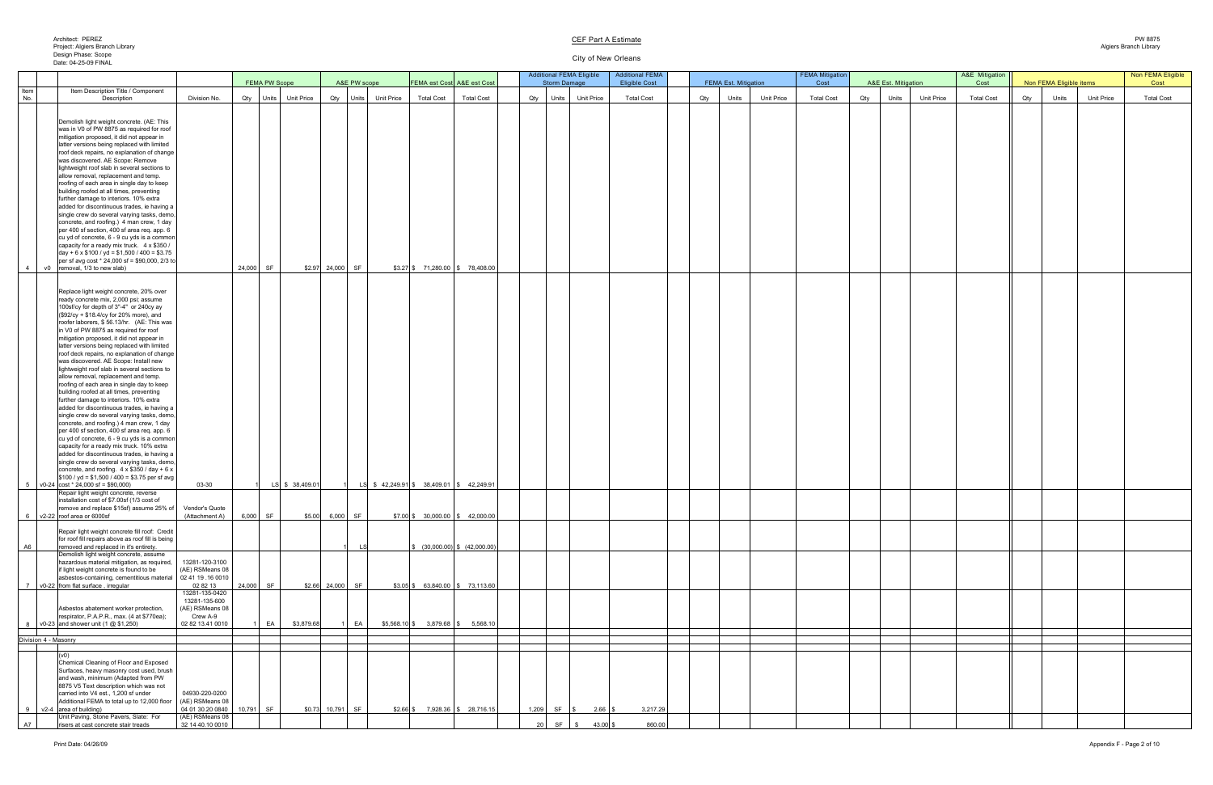#### City of New Orleans

|             |                                                                                                                                                                                                                                                                                                                                                                                                                                                                                                                                                                                                                                                                                                                                                                                                                                                                                                                                                                                                                                                                                                                                                                                                                                                                                               |                                                                                                          | <b>FEMA PW Scope</b>     |                 |                   | A&E PW scope |                                                           |                   | <b>FEMA est Cost A&amp;E est Cost</b>     |  | <b>Storm Damage</b>               | <b>Additional FEMA Eligible</b>           | <b>Additional FEMA</b><br><b>Eligible Cost</b> |     | <b>FEMA Est. Mitigation</b> |                   | <b>FEMA Mitigation</b><br>Cost |     | A&E Est. Mitigation        | A&E Mitigation<br>Cost |     | Non FEMA Eligible items |                   | Non FEMA Eligible<br>Cost |
|-------------|-----------------------------------------------------------------------------------------------------------------------------------------------------------------------------------------------------------------------------------------------------------------------------------------------------------------------------------------------------------------------------------------------------------------------------------------------------------------------------------------------------------------------------------------------------------------------------------------------------------------------------------------------------------------------------------------------------------------------------------------------------------------------------------------------------------------------------------------------------------------------------------------------------------------------------------------------------------------------------------------------------------------------------------------------------------------------------------------------------------------------------------------------------------------------------------------------------------------------------------------------------------------------------------------------|----------------------------------------------------------------------------------------------------------|--------------------------|-----------------|-------------------|--------------|-----------------------------------------------------------|-------------------|-------------------------------------------|--|-----------------------------------|-------------------------------------------|------------------------------------------------|-----|-----------------------------|-------------------|--------------------------------|-----|----------------------------|------------------------|-----|-------------------------|-------------------|---------------------------|
| Item<br>No. | Item Description Title / Component<br>Description                                                                                                                                                                                                                                                                                                                                                                                                                                                                                                                                                                                                                                                                                                                                                                                                                                                                                                                                                                                                                                                                                                                                                                                                                                             | Division No.                                                                                             | Qty   Units   Unit Price |                 |                   |              | Qty   Units   Unit Price                                  | <b>Total Cost</b> | <b>Total Cost</b>                         |  | Qty Units                         | <b>Unit Price</b>                         | <b>Total Cost</b>                              | Qty | Units                       | <b>Unit Price</b> | <b>Total Cost</b>              | Qty | <b>Unit Price</b><br>Units | <b>Total Cost</b>      | Qty | Units                   | <b>Unit Price</b> | <b>Total Cost</b>         |
|             | Demolish light weight concrete. (AE: This<br>was in V0 of PW 8875 as required for roof<br>mitigation proposed, it did not appear in<br>latter versions being replaced with limited<br>roof deck repairs, no explanation of change  <br>was discovered. AE Scope: Remove<br>lightweight roof slab in several sections to<br>allow removal, replacement and temp.<br>roofing of each area in single day to keep<br>building roofed at all times, preventing<br>further damage to interiors. 10% extra<br>added for discontinuous trades, ie having a<br>single crew do several varying tasks, demo,<br>concrete, and roofing.) 4 man crew, 1 day<br>per 400 sf section, 400 sf area req. app. 6<br>cu yd of concrete, 6 - 9 cu yds is a common<br>capacity for a ready mix truck. 4 x \$350 /<br>$\vert$ day + 6 x \$100 / yd = \$1,500 / 400 = \$3.75  <br>per sf avg cost $*$ 24,000 sf = \$90,000, 2/3 to                                                                                                                                                                                                                                                                                                                                                                                    |                                                                                                          |                          |                 |                   |              |                                                           |                   |                                           |  |                                   |                                           |                                                |     |                             |                   |                                |     |                            |                        |     |                         |                   |                           |
|             | v0 removal, 1/3 to new slab)<br>Replace light weight concrete, 20% over<br>ready concrete mix, 2,000 psi; assume<br>100sf/cy for depth of 3"-4" or 240cy ay<br>$($ \$92/cy + \$18.4/cy for 20% more), and<br>roofer laborers, \$56.13/hr. (AE: This was<br>in V0 of PW 8875 as required for roof<br>mitigation proposed, it did not appear in<br>latter versions being replaced with limited<br>roof deck repairs, no explanation of change<br>was discovered. AE Scope: Install new<br>lightweight roof slab in several sections to<br>allow removal, replacement and temp.<br>roofing of each area in single day to keep<br>building roofed at all times, preventing<br>further damage to interiors. 10% extra<br>added for discontinuous trades, ie having a<br>single crew do several varying tasks, demo,<br>concrete, and roofing.) 4 man crew, 1 day<br>per 400 sf section, 400 sf area req. app. 6<br>cu yd of concrete, 6 - 9 cu yds is a common<br>capacity for a ready mix truck. 10% extra<br>added for discontinuous trades, ie having a<br>single crew do several varying tasks, demo,<br>concrete, and roofing. $4 \times $350 / day + 6 \times$<br>$\frac{1}{3}100$ / yd = \$1,500 / 400 = \$3.75 per sf avg<br>$5 \mid v0-24 \mid \text{cost} * 24,000 \text{ sf} = $90,000$ | 03-30                                                                                                    | 24,000 SF                | LS \$ 38,409.01 | $$2.97$ 24,000 SF |              | LS $\frac{1}{2}$ \$ 42,249.91 \$ 38,409.01 \ \$ 42,249.91 |                   | $$3.27$ \$ 71,280.00 \$ 78,408.00         |  |                                   |                                           |                                                |     |                             |                   |                                |     |                            |                        |     |                         |                   |                           |
|             | Repair light weight concrete, reverse<br>installation cost of \$7.00sf (1/3 cost of<br>remove and replace \$15sf) assume 25% of<br>$6 \overline{\smash{\big)}\ \vee 2\text{-}22}$ roof area or 6000sf                                                                                                                                                                                                                                                                                                                                                                                                                                                                                                                                                                                                                                                                                                                                                                                                                                                                                                                                                                                                                                                                                         | Vendor's Quote<br>(Attachment A) 6,000 SF                                                                |                          |                 | \$5.00 6,000 SF   |              |                                                           |                   | $$7.00$ \$ 30,000.00 \$ 42,000.00         |  |                                   |                                           |                                                |     |                             |                   |                                |     |                            |                        |     |                         |                   |                           |
| A6          | Repair light weight concrete fill roof: Credit<br>for roof fill repairs above as roof fill is being<br>removed and replaced in it's entirety.                                                                                                                                                                                                                                                                                                                                                                                                                                                                                                                                                                                                                                                                                                                                                                                                                                                                                                                                                                                                                                                                                                                                                 |                                                                                                          |                          |                 |                   |              |                                                           |                   | $\frac{1}{2}$ (30,000.00) \ \ (42,000.00) |  |                                   |                                           |                                                |     |                             |                   |                                |     |                            |                        |     |                         |                   |                           |
|             | Demolish light weight concrete, assume<br>hazardous material mitigation, as required,<br>if light weight concrete is found to be<br>asbestos-containing, cementitious material<br>v0-22 from flat surface, irregular                                                                                                                                                                                                                                                                                                                                                                                                                                                                                                                                                                                                                                                                                                                                                                                                                                                                                                                                                                                                                                                                          | 13281-120-3100<br>(AE) RSMeans 08<br>$\big $ 02 41 19 .16 0010<br>02 82 13<br>13281-135-0420             | <b>SF</b><br>24,000      |                 | $$2.66$ 24,000 SF |              |                                                           |                   | $$3.05$ \$ 63,840.00 \$ 73,113.60         |  |                                   |                                           |                                                |     |                             |                   |                                |     |                            |                        |     |                         |                   |                           |
|             | Asbestos abatement worker protection,<br>respirator, P.A.P.R., max. (4 at \$770ea);<br>$\sqrt{\frac{60-23}{20}}$ and shower unit (1 $\omega$ \$1,250)                                                                                                                                                                                                                                                                                                                                                                                                                                                                                                                                                                                                                                                                                                                                                                                                                                                                                                                                                                                                                                                                                                                                         | 13281-135-600<br>(AE) RSMeans 08<br>Crew A-9<br>02 82 13.41 0010                                         | EA                       | \$3,879.68      |                   | $1$ EA       |                                                           |                   | $$5,568.10$ \$ 3,879.68 \ \$ 5,568.10     |  |                                   |                                           |                                                |     |                             |                   |                                |     |                            |                        |     |                         |                   |                           |
|             | Division 4 - Masonry                                                                                                                                                                                                                                                                                                                                                                                                                                                                                                                                                                                                                                                                                                                                                                                                                                                                                                                                                                                                                                                                                                                                                                                                                                                                          |                                                                                                          |                          |                 |                   |              |                                                           |                   |                                           |  |                                   |                                           |                                                |     |                             |                   |                                |     |                            |                        |     |                         |                   |                           |
| A7          | (1)<br>Chemical Cleaning of Floor and Exposed<br>Surfaces, heavy masonry cost used, brush<br>and wash, minimum (Adapted from PW<br>8875 V5 Text description which was not<br>carried into V4 est., 1,200 sf under<br>Additional FEMA to total up to 12,000 floor<br>$\sqrt{2-4}$ area of building)<br>Unit Paving, Stone Pavers, Slate: For<br>risers at cast concrete stair treads                                                                                                                                                                                                                                                                                                                                                                                                                                                                                                                                                                                                                                                                                                                                                                                                                                                                                                           | 04930-220-0200<br>(AE) RSMeans 08<br>04 01 30.20 0840   10,791 SF<br>(AE) RSMeans 08<br>32 14 40 10 0010 |                          |                 |                   |              |                                                           |                   | $$2.66$ \ \$ 7,928.36 \ \$ 28,716.15 \    |  | 1,209 SF $\frac{1}{3}$<br>$20$ SF | $2.66$ \ \$<br>$43.00$ \$<br>$\mathbb{S}$ | 3,217.29<br>860.00                             |     |                             |                   |                                |     |                            |                        |     |                         |                   |                           |

## **CEF Part A Estimate**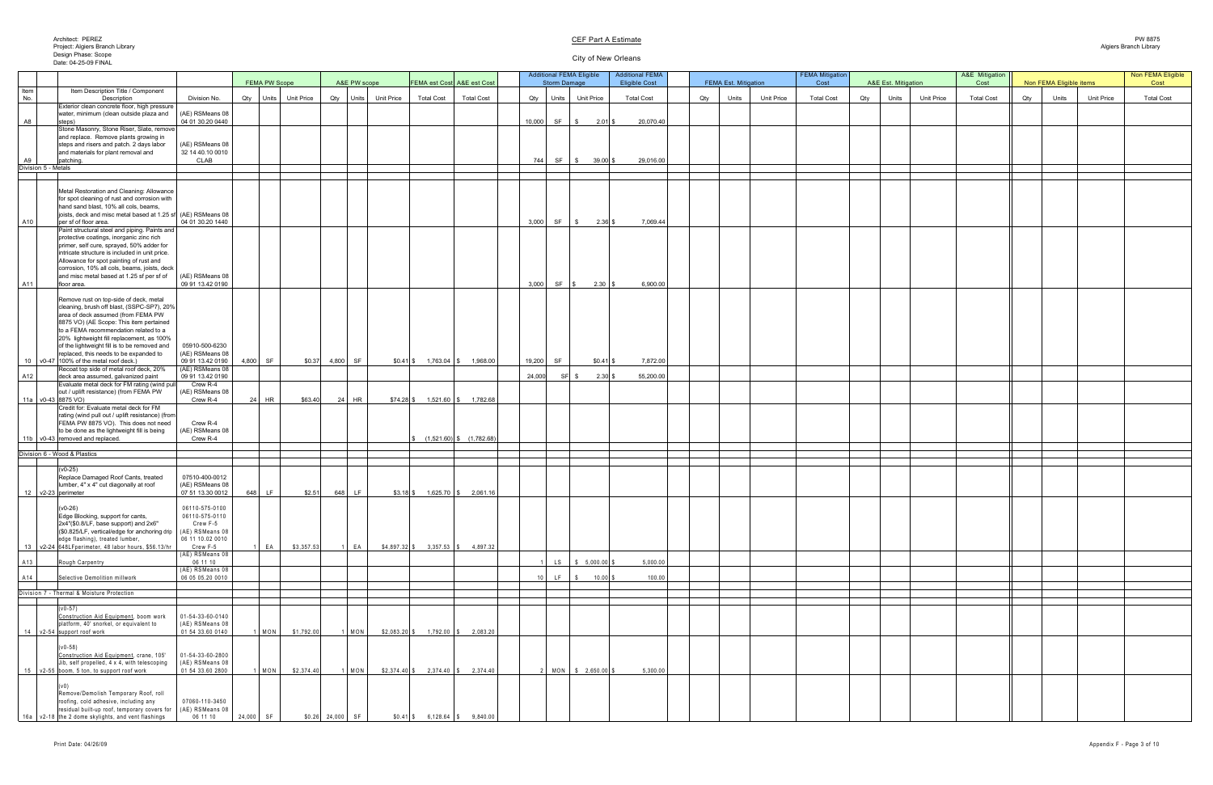# City of New Orleans

| <b>&amp;E Est. Mitigation</b> |                   | A&E Mitigation<br>Cost |     | Non FEMA Eligible items |                   | Non FEMA Eligible<br>Cost |
|-------------------------------|-------------------|------------------------|-----|-------------------------|-------------------|---------------------------|
| Units                         | <b>Unit Price</b> | <b>Total Cost</b>      | Qty | Units                   | <b>Unit Price</b> | <b>Total Cost</b>         |
|                               |                   |                        |     |                         |                   |                           |
|                               |                   |                        |     |                         |                   |                           |
|                               |                   |                        |     |                         |                   |                           |
|                               |                   |                        |     |                         |                   |                           |
|                               |                   |                        |     |                         |                   |                           |
|                               |                   |                        |     |                         |                   |                           |
|                               |                   |                        |     |                         |                   |                           |
|                               |                   |                        |     |                         |                   |                           |
|                               |                   |                        |     |                         |                   |                           |
|                               |                   |                        |     |                         |                   |                           |
|                               |                   |                        |     |                         |                   |                           |
|                               |                   |                        |     |                         |                   |                           |
|                               |                   |                        |     |                         |                   |                           |
|                               |                   |                        |     |                         |                   |                           |
|                               |                   |                        |     |                         |                   |                           |
|                               |                   |                        |     |                         |                   |                           |
|                               |                   |                        |     |                         |                   |                           |
|                               |                   |                        |     |                         |                   |                           |
|                               |                   |                        |     |                         |                   |                           |
|                               |                   |                        |     |                         |                   |                           |
|                               |                   |                        |     |                         |                   |                           |
|                               |                   |                        |     |                         |                   |                           |
|                               |                   |                        |     |                         |                   |                           |
|                               |                   |                        |     |                         |                   |                           |
|                               |                   |                        |     |                         |                   |                           |
|                               |                   |                        |     |                         |                   |                           |
|                               |                   |                        |     |                         |                   |                           |
|                               |                   |                        |     |                         |                   |                           |
|                               |                   |                        |     |                         |                   |                           |
|                               |                   |                        |     |                         |                   |                           |
|                               |                   |                        |     |                         |                   |                           |
|                               |                   |                        |     |                         |                   |                           |
|                               |                   |                        |     |                         |                   |                           |
|                               |                   |                        |     |                         |                   |                           |
|                               |                   |                        |     |                         |                   |                           |
|                               |                   |                        |     |                         |                   |                           |
|                               |                   |                        |     |                         |                   |                           |
|                               |                   |                        |     |                         |                   |                           |
|                               |                   |                        |     |                         |                   |                           |
|                               |                   |                        |     |                         |                   |                           |
|                               |                   |                        |     |                         |                   |                           |
|                               |                   |                        |     |                         |                   |                           |

| <b>FEMA PW Scope</b><br>A&E PW scope<br>FEMA est Cost A&E est Cost<br><b>Eligible Cost</b><br><b>FEMA Est. Mitigation</b><br>A&E Est. Mitigation<br>Cost<br><b>Storm Damage</b><br>Cost<br>Item<br>Item Description Title / Component<br>No.<br><b>Total Cost</b><br><b>Total Cost</b><br><b>Unit Price</b><br><b>Total Cost</b><br>Division No.<br><b>Total Cost</b><br><b>Total Cost</b><br><b>Unit Price</b><br>Qty<br><b>Unit Price</b><br>Description<br><b>Unit Price</b><br>Units<br>Qty   Units   Unit Price<br>Qty Units<br>Units<br>Qty<br>Qty Units I<br>Exterior clean concrete floor, high pressure | Non FEMA Eligible items<br><b>Unit Price</b><br>Qty<br>Units | Cost              |
|------------------------------------------------------------------------------------------------------------------------------------------------------------------------------------------------------------------------------------------------------------------------------------------------------------------------------------------------------------------------------------------------------------------------------------------------------------------------------------------------------------------------------------------------------------------------------------------------------------------|--------------------------------------------------------------|-------------------|
|                                                                                                                                                                                                                                                                                                                                                                                                                                                                                                                                                                                                                  |                                                              |                   |
|                                                                                                                                                                                                                                                                                                                                                                                                                                                                                                                                                                                                                  |                                                              | <b>Total Cost</b> |
| (AE) RSMeans 08<br>water, minimum (clean outside plaza and                                                                                                                                                                                                                                                                                                                                                                                                                                                                                                                                                       |                                                              |                   |
| <b>A8</b><br>20,070.40<br>04 01 30.20 0440<br>10,000<br>SF \$<br>$2.01$ \$<br>steps)                                                                                                                                                                                                                                                                                                                                                                                                                                                                                                                             |                                                              |                   |
| Stone Masonry, Stone Riser, Slate, remove<br>and replace. Remove plants growing in                                                                                                                                                                                                                                                                                                                                                                                                                                                                                                                               |                                                              |                   |
| (AE) RSMeans 08<br>steps and risers and patch. 2 days labor                                                                                                                                                                                                                                                                                                                                                                                                                                                                                                                                                      |                                                              |                   |
| 32 14 40.10 0010<br>and materials for plant removal and<br>29,016.00<br>A9<br><b>SF</b><br><b>CLAB</b><br>$39.00$ \$<br>744<br>patching<br>$\sqrt{S}$                                                                                                                                                                                                                                                                                                                                                                                                                                                            |                                                              |                   |
| Division 5 - Metals                                                                                                                                                                                                                                                                                                                                                                                                                                                                                                                                                                                              |                                                              |                   |
|                                                                                                                                                                                                                                                                                                                                                                                                                                                                                                                                                                                                                  |                                                              |                   |
| Metal Restoration and Cleaning: Allowance                                                                                                                                                                                                                                                                                                                                                                                                                                                                                                                                                                        |                                                              |                   |
| for spot cleaning of rust and corrosion with<br>hand sand blast, 10% all cols, beams,                                                                                                                                                                                                                                                                                                                                                                                                                                                                                                                            |                                                              |                   |
| joists, deck and misc metal based at 1.25 sf (AE) RSMeans 08<br>A10<br>per sf of floor area.<br>04 01 30.20 1440<br>3,000<br>SF \$<br>7,069.44<br>$2.36$ \$                                                                                                                                                                                                                                                                                                                                                                                                                                                      |                                                              |                   |
| Paint structural steel and piping. Paints and                                                                                                                                                                                                                                                                                                                                                                                                                                                                                                                                                                    |                                                              |                   |
| protective coatings, inorganic zinc rich<br>primer, self cure, sprayed, 50% adder for                                                                                                                                                                                                                                                                                                                                                                                                                                                                                                                            |                                                              |                   |
| intricate structure is included in unit price.                                                                                                                                                                                                                                                                                                                                                                                                                                                                                                                                                                   |                                                              |                   |
| Allowance for spot painting of rust and<br>corrosion, 10% all cols, beams, joists, deck                                                                                                                                                                                                                                                                                                                                                                                                                                                                                                                          |                                                              |                   |
| and misc metal based at 1.25 sf per sf of<br>(AE) RSMeans 08                                                                                                                                                                                                                                                                                                                                                                                                                                                                                                                                                     |                                                              |                   |
| A11<br>09 91 13.42 0190<br>3,000<br>$SF \mid $$<br>6,900.00<br>floor area.                                                                                                                                                                                                                                                                                                                                                                                                                                                                                                                                       |                                                              |                   |
| Remove rust on top-side of deck, metal                                                                                                                                                                                                                                                                                                                                                                                                                                                                                                                                                                           |                                                              |                   |
| cleaning, brush off blast, (SSPC-SP7), 20%<br>area of deck assumed (from FEMA PW                                                                                                                                                                                                                                                                                                                                                                                                                                                                                                                                 |                                                              |                   |
| 8875 VO) (AE Scope: This item pertained                                                                                                                                                                                                                                                                                                                                                                                                                                                                                                                                                                          |                                                              |                   |
| to a FEMA recommendation related to a<br>20% lightweight fill replacement, as 100%                                                                                                                                                                                                                                                                                                                                                                                                                                                                                                                               |                                                              |                   |
| of the lightweight fill is to be removed and<br>05910-500-6230                                                                                                                                                                                                                                                                                                                                                                                                                                                                                                                                                   |                                                              |                   |
| (AE) RSMeans 08<br>replaced, this needs to be expanded to<br>09 91 13.42 0190<br>$4,800$ SF<br>10   $\sqrt{0-47}$   100% of the metal roof deck.)<br>\$0.37<br>4,800 SF<br>$$0.41$ \$ 1,763.04 \\$<br>19,200<br>SF<br>7,872.00<br>1,968.00<br>$$0.41$ $$$                                                                                                                                                                                                                                                                                                                                                        |                                                              |                   |
| (AE) RSMeans 08<br>Recoat top side of metal roof deck, 20%                                                                                                                                                                                                                                                                                                                                                                                                                                                                                                                                                       |                                                              |                   |
| A12<br>24,000<br>55,200.00<br>09 91 13.42 0190<br>$2.30$ \$<br>deck area assumed, galvanized paint<br>SF \$<br>Evaluate metal deck for FM rating (wind pull<br>Crew R-4                                                                                                                                                                                                                                                                                                                                                                                                                                          |                                                              |                   |
| (AE) RSMeans 08<br>out / uplift resistance) (from FEMA PW<br>  11a   v0-43   8875 VO)<br>$24$ HR<br>Crew R-4<br>24 HR<br>\$63.40<br>\$74.28 \$<br>$1,521.60$ \$<br>1,782.68                                                                                                                                                                                                                                                                                                                                                                                                                                      |                                                              |                   |
| Credit for: Evaluate metal deck for FM                                                                                                                                                                                                                                                                                                                                                                                                                                                                                                                                                                           |                                                              |                   |
| rating (wind pull out / uplift resistance) (from<br>FEMA PW 8875 VO). This does not need<br>Crew R-4                                                                                                                                                                                                                                                                                                                                                                                                                                                                                                             |                                                              |                   |
| (AE) RSMeans 08  <br>to be done as the lightweight fill is being                                                                                                                                                                                                                                                                                                                                                                                                                                                                                                                                                 |                                                              |                   |
| Crew R-4<br>$(1,521.60)$ \$ $(1,782.68)$<br>$11b$ v0-43 removed and replaced.                                                                                                                                                                                                                                                                                                                                                                                                                                                                                                                                    |                                                              |                   |
| Division 6 - Wood & Plastics                                                                                                                                                                                                                                                                                                                                                                                                                                                                                                                                                                                     |                                                              |                   |
| $(v0-25)$                                                                                                                                                                                                                                                                                                                                                                                                                                                                                                                                                                                                        |                                                              |                   |
| Replace Damaged Roof Cants, treated<br>07510-400-0012                                                                                                                                                                                                                                                                                                                                                                                                                                                                                                                                                            |                                                              |                   |
| lumber, 4" x 4" cut diagonally at roof<br>(AE) RSMeans 08<br>12 $\sqrt{2}$ -23 perimeter<br>07 51 13.30 0012<br>648 LF<br>\$2.51<br>$$3.18$ $$$ $1,625.70$ $$$ $2,061.16$<br>648 LF                                                                                                                                                                                                                                                                                                                                                                                                                              |                                                              |                   |
|                                                                                                                                                                                                                                                                                                                                                                                                                                                                                                                                                                                                                  |                                                              |                   |
| $(V0-26)$<br>06110-575-0100<br>Edge Blocking, support for cants,<br>06110-575-0110                                                                                                                                                                                                                                                                                                                                                                                                                                                                                                                               |                                                              |                   |
| Crew F-5<br>2x4"(\$0.8/LF, base support) and 2x6"                                                                                                                                                                                                                                                                                                                                                                                                                                                                                                                                                                |                                                              |                   |
| (AE) RSMeans 08<br>(\$0.825/LF, vertical/edge for anchoring drip<br>06 11 10.02 0010<br>edge flashing), treated lumber,                                                                                                                                                                                                                                                                                                                                                                                                                                                                                          |                                                              |                   |
| \$3,357.53<br>$$4,897.32$ \$<br>$E_A$<br>EA<br>$3,357.53$ \$<br>13   v2-24   648L Fperimeter, 48 labor hours, \$56.13/hr<br>Crew F-5<br>4,897.32<br>(AE) RSMeans 08                                                                                                                                                                                                                                                                                                                                                                                                                                              |                                                              |                   |
| 06 11 10<br>$5,000.00$ \$<br>5,000.00<br>A13<br>Rough Carpentry<br>LS                                                                                                                                                                                                                                                                                                                                                                                                                                                                                                                                            |                                                              |                   |
| (AE) RSMeans 08<br>100.00<br>06 05 05.20 0010<br>A14<br>$10.00$ \$<br>Selective Demolition millwork<br>LF.                                                                                                                                                                                                                                                                                                                                                                                                                                                                                                       |                                                              |                   |
|                                                                                                                                                                                                                                                                                                                                                                                                                                                                                                                                                                                                                  |                                                              |                   |
| Division 7 - Thermal & Moisture Protection                                                                                                                                                                                                                                                                                                                                                                                                                                                                                                                                                                       |                                                              |                   |
| $(v0-57)$                                                                                                                                                                                                                                                                                                                                                                                                                                                                                                                                                                                                        |                                                              |                   |
| $01 - 54 - 33 - 60 - 0140$<br>Construction Aid Equipment, boom work<br>(AE) RSMeans 08<br>platform, 40' snorkel, or equivalent to                                                                                                                                                                                                                                                                                                                                                                                                                                                                                |                                                              |                   |
| \$1,792.00<br>$1,792.00$ \$<br>01 54 33.60 0140<br>$1$   MON<br>$1$ MON<br>$$2,083.20$ \$<br>2,083.20<br>14 v2-54 support roof work                                                                                                                                                                                                                                                                                                                                                                                                                                                                              |                                                              |                   |
| $(v0-58)$                                                                                                                                                                                                                                                                                                                                                                                                                                                                                                                                                                                                        |                                                              |                   |
| $01 - 54 - 33 - 60 - 2800$<br>Construction Aid Equipment, crane, 105'                                                                                                                                                                                                                                                                                                                                                                                                                                                                                                                                            |                                                              |                   |
| (AE) RSMeans 08<br>Jib, self propelled, 4 x 4, with telescoping<br>$1$   MON<br>\$2,374.40<br>$$2,374.40$ \ \$<br>5,300.00<br>15   v2-55   boom, 5 ton, to support roof work<br>01 54 33.60 2800<br>$1$ MON<br>$2,374.40$ \$<br>2,374.40<br>MON   \$ 2,650.00 \$                                                                                                                                                                                                                                                                                                                                                 |                                                              |                   |
|                                                                                                                                                                                                                                                                                                                                                                                                                                                                                                                                                                                                                  |                                                              |                   |
| Remove/Demolish Temporary Roof, roll                                                                                                                                                                                                                                                                                                                                                                                                                                                                                                                                                                             |                                                              |                   |
| 07060-110-3450<br>roofing, cold adhesive, including any                                                                                                                                                                                                                                                                                                                                                                                                                                                                                                                                                          |                                                              |                   |
| (AE) RSMeans 08<br>residual built-up roof, temporary covers for<br>24,000 SF<br>06 11 10<br>$$0.26$ 24,000 SF<br>  16a   v2-18 the 2 dome skylights, and vent flashings<br>$$0.41$ \$<br>$6,128.64$ \$ $9,840.00$                                                                                                                                                                                                                                                                                                                                                                                                |                                                              |                   |

## **CEF Part A Estimate**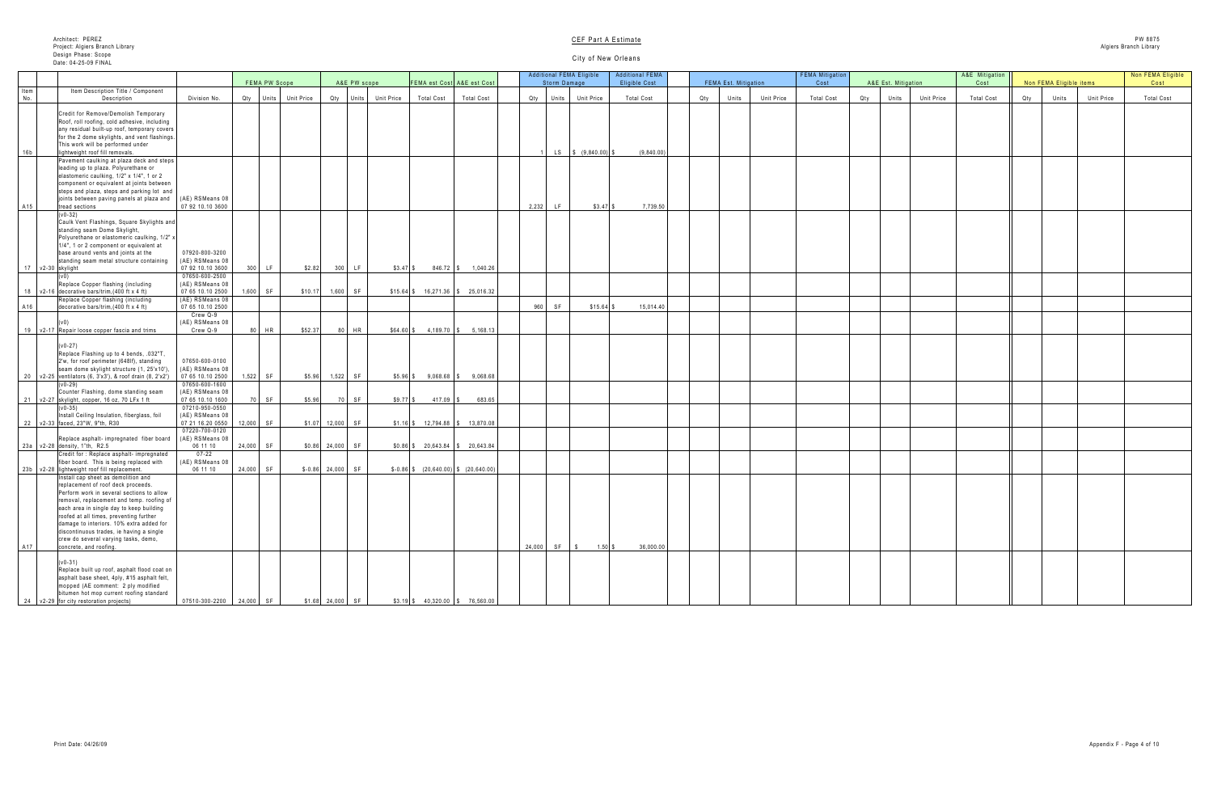|     | A&E Est. Mitigation |            | A&E Mitigation<br>Cost |     | Non FEMA Eligible items |            | Non FEMA Eligible<br>Cost |
|-----|---------------------|------------|------------------------|-----|-------------------------|------------|---------------------------|
|     |                     |            |                        |     |                         |            |                           |
| Qty | Units               | Unit Price | <b>Total Cost</b>      | Qty | Units                   | Unit Price | <b>Total Cost</b>         |
|     |                     |            |                        |     |                         |            |                           |
|     |                     |            |                        |     |                         |            |                           |
|     |                     |            |                        |     |                         |            |                           |
|     |                     |            |                        |     |                         |            |                           |
|     |                     |            |                        |     |                         |            |                           |
|     |                     |            |                        |     |                         |            |                           |
|     |                     |            |                        |     |                         |            |                           |
|     |                     |            |                        |     |                         |            |                           |
|     |                     |            |                        |     |                         |            |                           |
|     |                     |            |                        |     |                         |            |                           |
|     |                     |            |                        |     |                         |            |                           |
|     |                     |            |                        |     |                         |            |                           |
|     |                     |            |                        |     |                         |            |                           |
|     |                     |            |                        |     |                         |            |                           |
|     |                     |            |                        |     |                         |            |                           |
|     |                     |            |                        |     |                         |            |                           |
|     |                     |            |                        |     |                         |            |                           |
|     |                     |            |                        |     |                         |            |                           |
|     |                     |            |                        |     |                         |            |                           |
|     |                     |            |                        |     |                         |            |                           |
|     |                     |            |                        |     |                         |            |                           |
|     |                     |            |                        |     |                         |            |                           |
|     |                     |            |                        |     |                         |            |                           |
|     |                     |            |                        |     |                         |            |                           |
|     |                     |            |                        |     |                         |            |                           |
|     |                     |            |                        |     |                         |            |                           |
|     |                     |            |                        |     |                         |            |                           |
|     |                     |            |                        |     |                         |            |                           |
|     |                     |            |                        |     |                         |            |                           |
|     |                     |            |                        |     |                         |            |                           |
|     |                     |            |                        |     |                         |            |                           |
|     |                     |            |                        |     |                         |            |                           |
|     |                     |            |                        |     |                         |            |                           |
|     |                     |            |                        |     |                         |            |                           |
|     |                     |            |                        |     |                         |            |                           |
|     |                     |            |                        |     |                         |            |                           |
|     |                     |            |                        |     |                         |            |                           |
|     |                     |            |                        |     |                         |            |                           |
|     |                     |            |                        |     |                         |            |                           |
|     |                     |            |                        |     |                         |            |                           |
|     |                     |            |                        |     |                         |            |                           |
|     |                     |            |                        |     |                         |            |                           |
|     |                     |            |                        |     |                         |            |                           |
|     |                     |            |                        |     |                         |            |                           |
|     |                     |            |                        |     |                         |            |                           |

|                    |                                                                                                    |                                     |           |                                        |                    |              |                                                      |                                          | <b>Additional FEMA Eligible</b> |                                                      | <b>Additional FEMA</b> |                             |                   | <b>FEMA Mitigation</b> |     |                     |                   | A&E Mitigation    |     |                         |                   | Non FEMA Eli      |
|--------------------|----------------------------------------------------------------------------------------------------|-------------------------------------|-----------|----------------------------------------|--------------------|--------------|------------------------------------------------------|------------------------------------------|---------------------------------|------------------------------------------------------|------------------------|-----------------------------|-------------------|------------------------|-----|---------------------|-------------------|-------------------|-----|-------------------------|-------------------|-------------------|
|                    |                                                                                                    |                                     |           | <b>FEMA PW Scope</b>                   |                    | A&E PW scope | <b>FEMA est Cost</b> A&E est Cost                    |                                          | Storm Damage                    |                                                      | <b>Eligible Cost</b>   | <b>FEMA Est. Mitigation</b> |                   | Cost                   |     | A&E Est. Mitigation |                   | Cost              |     | Non FEMA Eligible items |                   | Cost              |
| <b>Item</b><br>No. | Item Description Title / Component<br>Description                                                  | Division No.                        |           | Qty Units Unit Price                   |                    |              | <b>Total Cost</b><br>Qty Units Unit Price            | <b>Total Cost</b>                        | Qty I<br>Units                  | <b>Unit Price</b>                                    | <b>Total Cost</b>      | Qty<br>Units                | <b>Unit Price</b> | <b>Total Cost</b>      | Qty | Units               | <b>Unit Price</b> | <b>Total Cost</b> | Qty | Units                   | <b>Unit Price</b> | <b>Total Cost</b> |
|                    |                                                                                                    |                                     |           |                                        |                    |              |                                                      |                                          |                                 |                                                      |                        |                             |                   |                        |     |                     |                   |                   |     |                         |                   |                   |
|                    | Credit for Remove/Demolish Temporary                                                               |                                     |           |                                        |                    |              |                                                      |                                          |                                 |                                                      |                        |                             |                   |                        |     |                     |                   |                   |     |                         |                   |                   |
|                    | Roof, roll roofing, cold adhesive, including                                                       |                                     |           |                                        |                    |              |                                                      |                                          |                                 |                                                      |                        |                             |                   |                        |     |                     |                   |                   |     |                         |                   |                   |
|                    | any residual built-up roof, temporary covers<br>for the 2 dome skylights, and vent flashings.      |                                     |           |                                        |                    |              |                                                      |                                          |                                 |                                                      |                        |                             |                   |                        |     |                     |                   |                   |     |                         |                   |                   |
|                    | This work will be performed under                                                                  |                                     |           |                                        |                    |              |                                                      |                                          |                                 |                                                      |                        |                             |                   |                        |     |                     |                   |                   |     |                         |                   |                   |
| 16b                | lightweight roof fill removals.                                                                    |                                     |           |                                        |                    |              |                                                      |                                          |                                 | LS $\begin{bmatrix} 1 \\ 1 \end{bmatrix}$ (9,840.00) | (9,840.00)             |                             |                   |                        |     |                     |                   |                   |     |                         |                   |                   |
|                    | Pavement caulking at plaza deck and steps<br>leading up to plaza. Polyurethane or                  |                                     |           |                                        |                    |              |                                                      |                                          |                                 |                                                      |                        |                             |                   |                        |     |                     |                   |                   |     |                         |                   |                   |
|                    | elastomeric caulking, 1/2" x 1/4", 1 or 2                                                          |                                     |           |                                        |                    |              |                                                      |                                          |                                 |                                                      |                        |                             |                   |                        |     |                     |                   |                   |     |                         |                   |                   |
|                    | component or equivalent at joints between                                                          |                                     |           |                                        |                    |              |                                                      |                                          |                                 |                                                      |                        |                             |                   |                        |     |                     |                   |                   |     |                         |                   |                   |
|                    | steps and plaza, steps and parking lot and                                                         |                                     |           |                                        |                    |              |                                                      |                                          |                                 |                                                      |                        |                             |                   |                        |     |                     |                   |                   |     |                         |                   |                   |
| A15                | joints between paving panels at plaza and<br>tread sections                                        | (AE) RSMeans 08<br>07 92 10.10 3600 |           |                                        |                    |              |                                                      |                                          | 2,232<br>LF <b>L</b>            | $$3.47$ \ $$$                                        | 7,739.50               |                             |                   |                        |     |                     |                   |                   |     |                         |                   |                   |
|                    | $(v0-32)$                                                                                          |                                     |           |                                        |                    |              |                                                      |                                          |                                 |                                                      |                        |                             |                   |                        |     |                     |                   |                   |     |                         |                   |                   |
|                    | Caulk Vent Flashings, Square Skylights and                                                         |                                     |           |                                        |                    |              |                                                      |                                          |                                 |                                                      |                        |                             |                   |                        |     |                     |                   |                   |     |                         |                   |                   |
|                    | standing seam Dome Skylight,<br>Polyurethane or elastomeric caulking, 1/2" x                       |                                     |           |                                        |                    |              |                                                      |                                          |                                 |                                                      |                        |                             |                   |                        |     |                     |                   |                   |     |                         |                   |                   |
|                    | 1/4", 1 or 2 component or equivalent at                                                            |                                     |           |                                        |                    |              |                                                      |                                          |                                 |                                                      |                        |                             |                   |                        |     |                     |                   |                   |     |                         |                   |                   |
|                    | base around vents and joints at the                                                                | 07920-800-3200                      |           |                                        |                    |              |                                                      |                                          |                                 |                                                      |                        |                             |                   |                        |     |                     |                   |                   |     |                         |                   |                   |
|                    | standing seam metal structure containing                                                           | (AE) RSMeans 08                     |           |                                        |                    |              |                                                      |                                          |                                 |                                                      |                        |                             |                   |                        |     |                     |                   |                   |     |                         |                   |                   |
|                    | v2-30 skylight                                                                                     | 07 92 10.10 3600<br>07650-600-2500  | 300       | l LF I                                 | \$2.82             | LF.          | $$3.47$ \ \$<br>$846.72$ \$                          | 1,040.26                                 |                                 |                                                      |                        |                             |                   |                        |     |                     |                   |                   |     |                         |                   |                   |
|                    | Replace Copper flashing (including                                                                 | (AE) RSMeans 08                     |           |                                        |                    |              |                                                      |                                          |                                 |                                                      |                        |                             |                   |                        |     |                     |                   |                   |     |                         |                   |                   |
|                    | 18   v2-16 decorative bars/trim, $(400 \text{ ft} \times 4 \text{ ft})$                            | $076510.102500$ 1,600 SF            |           |                                        |                    |              | $$10.17$ 1,600 SF $$15.64$ \$ 16,271.36 \$ 25,016.32 |                                          |                                 |                                                      |                        |                             |                   |                        |     |                     |                   |                   |     |                         |                   |                   |
| A <sub>16</sub>    | Replace Copper flashing (including<br>decorative bars/trim, $(400 \text{ ft} \times 4 \text{ ft})$ | (AE) RSMeans 08<br>07 65 10.10 2500 |           |                                        |                    |              |                                                      |                                          | 960<br><b>SF</b>                | $$15.64$ \ \$                                        | 15,014.40              |                             |                   |                        |     |                     |                   |                   |     |                         |                   |                   |
|                    |                                                                                                    | Crew Q-9                            |           |                                        |                    |              |                                                      |                                          |                                 |                                                      |                        |                             |                   |                        |     |                     |                   |                   |     |                         |                   |                   |
|                    |                                                                                                    | (AE) RSMeans 08                     |           |                                        |                    |              |                                                      |                                          |                                 |                                                      |                        |                             |                   |                        |     |                     |                   |                   |     |                         |                   |                   |
| 19                 | v2-17 Repair loose copper fascia and trims                                                         | Crew Q-9                            |           | $\overline{\phantom{a}}$ HR<br>\$52.37 |                    | 80 HR        | $$64.60$ \$                                          | $4,189.70$ \$ 5,168.13                   |                                 |                                                      |                        |                             |                   |                        |     |                     |                   |                   |     |                         |                   |                   |
|                    | $(v0-27)$                                                                                          |                                     |           |                                        |                    |              |                                                      |                                          |                                 |                                                      |                        |                             |                   |                        |     |                     |                   |                   |     |                         |                   |                   |
|                    | Replace Flashing up to 4 bends, .032"T,                                                            |                                     |           |                                        |                    |              |                                                      |                                          |                                 |                                                      |                        |                             |                   |                        |     |                     |                   |                   |     |                         |                   |                   |
|                    | 2'w, for roof perimeter (648If), standing<br>seam dome skylight structure (1, 25'x10'),            | 07650-600-0100<br>(AE) RSMeans 08   |           |                                        |                    |              |                                                      |                                          |                                 |                                                      |                        |                             |                   |                        |     |                     |                   |                   |     |                         |                   |                   |
|                    | 20   v2-25   ventilators (6, 3'x3'), & roof drain (8, 2'x2')                                       | 07 65 10.10 2500                    |           | $1,522$ SF                             | $$5.96$ 1,522 SF   |              | $$5.96$ \$                                           | $9,068.68$ $\vert$ \$ $9,068.68$ $\vert$ |                                 |                                                      |                        |                             |                   |                        |     |                     |                   |                   |     |                         |                   |                   |
|                    | $(v0-29)$                                                                                          | 07650-600-1600                      |           |                                        |                    |              |                                                      |                                          |                                 |                                                      |                        |                             |                   |                        |     |                     |                   |                   |     |                         |                   |                   |
|                    | Counter Flashing, dome standing seam<br>21 v2-27 skylight, copper, 16 oz, 70 LFx 1 ft              | (AE) RSMeans 08<br>07 65 10.10 1600 |           | 70 SF                                  | \$5.96             | 70 SF        | $$9.77$ $$$<br>$417.09$ \$                           | 683.65                                   |                                 |                                                      |                        |                             |                   |                        |     |                     |                   |                   |     |                         |                   |                   |
|                    |                                                                                                    | 07210-950-0550                      |           |                                        |                    |              |                                                      |                                          |                                 |                                                      |                        |                             |                   |                        |     |                     |                   |                   |     |                         |                   |                   |
|                    | Install Ceiling Insulation, fiberglass, foil                                                       | (AE) RSMeans 08                     |           |                                        |                    |              |                                                      |                                          |                                 |                                                      |                        |                             |                   |                        |     |                     |                   |                   |     |                         |                   |                   |
|                    | 22 v2-33 faced, 23"W, 9"th, R30                                                                    | 07 21 16.20 0550<br>07220-700-0120  | 12,000 SF |                                        | $$1.07$ 12,000 SF  |              | $$1.16$ $$$ $12,794.88$ $$$ $13,870.08$              |                                          |                                 |                                                      |                        |                             |                   |                        |     |                     |                   |                   |     |                         |                   |                   |
|                    | Replace asphalt- impregnated fiber board                                                           | (AE) RSMeans 08                     |           |                                        |                    |              |                                                      |                                          |                                 |                                                      |                        |                             |                   |                        |     |                     |                   |                   |     |                         |                   |                   |
|                    | 23a   v2-28 density, 1"th, R2.5                                                                    | 06 11 10                            | 24,000 SF |                                        | $$0.86$ 24,000 SF  |              | $$0.86$ \ \$ 20,643.84 \ \$ 20,643.84 \              |                                          |                                 |                                                      |                        |                             |                   |                        |     |                     |                   |                   |     |                         |                   |                   |
|                    | Credit for: Replace asphalt- impregnated                                                           | $07 - 22$                           |           |                                        |                    |              |                                                      |                                          |                                 |                                                      |                        |                             |                   |                        |     |                     |                   |                   |     |                         |                   |                   |
|                    | fiber board. This is being replaced with<br>23b v2-28 lightweight roof fill replacement.           | (AE) RSMeans 08<br>06 11 10         | 24,000 SF |                                        | $$-0.86$ 24,000 SF |              |                                                      |                                          |                                 |                                                      |                        |                             |                   |                        |     |                     |                   |                   |     |                         |                   |                   |
|                    | Install cap sheet as demolition and                                                                |                                     |           |                                        |                    |              |                                                      |                                          |                                 |                                                      |                        |                             |                   |                        |     |                     |                   |                   |     |                         |                   |                   |
|                    | replacement of roof deck proceeds.                                                                 |                                     |           |                                        |                    |              |                                                      |                                          |                                 |                                                      |                        |                             |                   |                        |     |                     |                   |                   |     |                         |                   |                   |
|                    | Perform work in several sections to allow<br>removal, replacement and temp. roofing of             |                                     |           |                                        |                    |              |                                                      |                                          |                                 |                                                      |                        |                             |                   |                        |     |                     |                   |                   |     |                         |                   |                   |
|                    | each area in single day to keep building                                                           |                                     |           |                                        |                    |              |                                                      |                                          |                                 |                                                      |                        |                             |                   |                        |     |                     |                   |                   |     |                         |                   |                   |
|                    | roofed at all times, preventing further                                                            |                                     |           |                                        |                    |              |                                                      |                                          |                                 |                                                      |                        |                             |                   |                        |     |                     |                   |                   |     |                         |                   |                   |
|                    | damage to interiors. 10% extra added for                                                           |                                     |           |                                        |                    |              |                                                      |                                          |                                 |                                                      |                        |                             |                   |                        |     |                     |                   |                   |     |                         |                   |                   |
|                    | discontinuous trades, ie having a single<br>crew do several varying tasks, demo,                   |                                     |           |                                        |                    |              |                                                      |                                          |                                 |                                                      |                        |                             |                   |                        |     |                     |                   |                   |     |                         |                   |                   |
| A17                | concrete, and roofing.                                                                             |                                     |           |                                        |                    |              |                                                      |                                          | 24,000<br>SF                    | $1.50$ \$                                            | 36,000.00              |                             |                   |                        |     |                     |                   |                   |     |                         |                   |                   |
|                    | $(v0-31)$                                                                                          |                                     |           |                                        |                    |              |                                                      |                                          |                                 |                                                      |                        |                             |                   |                        |     |                     |                   |                   |     |                         |                   |                   |
|                    | Replace built up roof, asphalt flood coat on                                                       |                                     |           |                                        |                    |              |                                                      |                                          |                                 |                                                      |                        |                             |                   |                        |     |                     |                   |                   |     |                         |                   |                   |
|                    | asphalt base sheet, 4ply, #15 asphalt felt,                                                        |                                     |           |                                        |                    |              |                                                      |                                          |                                 |                                                      |                        |                             |                   |                        |     |                     |                   |                   |     |                         |                   |                   |
|                    | mopped (AE comment: 2 ply modified                                                                 |                                     |           |                                        |                    |              |                                                      |                                          |                                 |                                                      |                        |                             |                   |                        |     |                     |                   |                   |     |                         |                   |                   |
|                    | bitumen hot mop current roofing standard<br>24 $\sqrt{2}$ -29 for city restoration projects)       | 07510-300-2200 24,000 SF            |           |                                        | $$1.68$ 24,000 SF  |              | $$3.19$ $$$ 40,320.00 $$$ 76,560.00                  |                                          |                                 |                                                      |                        |                             |                   |                        |     |                     |                   |                   |     |                         |                   |                   |
|                    |                                                                                                    |                                     |           |                                        |                    |              |                                                      |                                          |                                 |                                                      |                        |                             |                   |                        |     |                     |                   |                   |     |                         |                   |                   |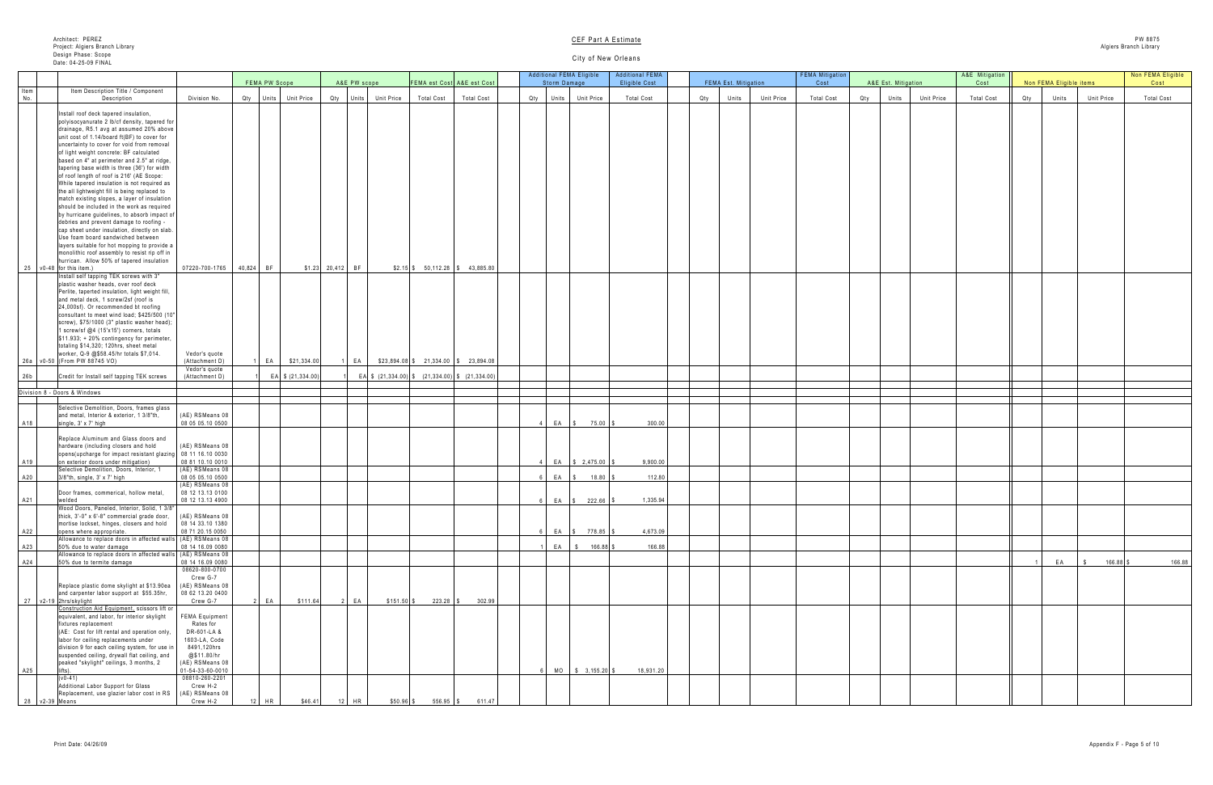|                 |            | A&E Mitigation    |     |             |                         |                                | Non FEMA Eligible |
|-----------------|------------|-------------------|-----|-------------|-------------------------|--------------------------------|-------------------|
| Est. Mitigation |            | Cost              |     |             | Non FEMA Eligible items |                                | Cost              |
| Units           | Unit Price | <b>Total Cost</b> | Qty |             | Units                   | Unit Price                     | <b>Total Cost</b> |
|                 |            |                   |     |             |                         |                                |                   |
|                 |            |                   |     |             |                         |                                |                   |
|                 |            |                   |     |             |                         |                                |                   |
|                 |            |                   |     |             |                         |                                |                   |
|                 |            |                   |     |             |                         |                                |                   |
|                 |            |                   |     |             |                         |                                |                   |
|                 |            |                   |     |             |                         |                                |                   |
|                 |            |                   |     |             |                         |                                |                   |
|                 |            |                   |     |             |                         |                                |                   |
|                 |            |                   |     |             |                         |                                |                   |
|                 |            |                   |     |             |                         |                                |                   |
|                 |            |                   |     |             |                         |                                |                   |
|                 |            |                   |     |             |                         |                                |                   |
|                 |            |                   |     |             |                         |                                |                   |
|                 |            |                   |     |             |                         |                                |                   |
|                 |            |                   |     |             |                         |                                |                   |
|                 |            |                   |     |             |                         |                                |                   |
|                 |            |                   |     |             |                         |                                |                   |
|                 |            |                   |     |             |                         |                                |                   |
|                 |            |                   |     |             |                         |                                |                   |
|                 |            |                   |     |             |                         |                                |                   |
|                 |            |                   |     |             |                         |                                |                   |
|                 |            |                   |     |             |                         |                                |                   |
|                 |            |                   |     |             |                         |                                |                   |
|                 |            |                   |     |             |                         |                                |                   |
|                 |            |                   |     |             |                         |                                |                   |
|                 |            |                   |     |             |                         |                                |                   |
|                 |            |                   |     |             |                         |                                |                   |
|                 |            |                   |     |             |                         |                                |                   |
|                 |            |                   |     |             |                         |                                |                   |
|                 |            |                   |     |             |                         |                                |                   |
|                 |            |                   |     |             |                         |                                |                   |
|                 |            |                   |     |             |                         |                                |                   |
|                 |            |                   |     |             |                         |                                |                   |
|                 |            |                   |     |             |                         |                                |                   |
|                 |            |                   |     |             |                         |                                |                   |
|                 |            |                   |     |             |                         |                                |                   |
|                 |            |                   |     |             |                         |                                |                   |
|                 |            |                   |     | $\mathbf 1$ | EA                      | 166.88 \$<br>$\boldsymbol{\$}$ | 166.88            |
|                 |            |                   |     |             |                         |                                |                   |
|                 |            |                   |     |             |                         |                                |                   |
|                 |            |                   |     |             |                         |                                |                   |
|                 |            |                   |     |             |                         |                                |                   |
|                 |            |                   |     |             |                         |                                |                   |
|                 |            |                   |     |             |                         |                                |                   |
|                 |            |                   |     |             |                         |                                |                   |
|                 |            |                   |     |             |                         |                                |                   |
|                 |            |                   |     |             |                         |                                |                   |
|                 |            |                   |     |             |                         |                                |                   |
|                 |            |                   |     |             |                         |                                |                   |
|                 |            |                   |     |             |                         |                                |                   |
|                 |            |                   |     |             |                         |                                |                   |

|                    |                                                                                                                                                                                                                                                                                                                                                                                                                                                                                                                                                                                                                                                                                                                |                                                                                                  |               |                      |                   |                      |                                                                                  |                   | <b>Additional FEMA Eligible</b> |                       | Additional FEMA      |     |                      |                   | <b>FEMA Mitigation</b> |     |                     |                   | A&E Mitigation    |     |                         |                   | Non FEMA Eligible |
|--------------------|----------------------------------------------------------------------------------------------------------------------------------------------------------------------------------------------------------------------------------------------------------------------------------------------------------------------------------------------------------------------------------------------------------------------------------------------------------------------------------------------------------------------------------------------------------------------------------------------------------------------------------------------------------------------------------------------------------------|--------------------------------------------------------------------------------------------------|---------------|----------------------|-------------------|----------------------|----------------------------------------------------------------------------------|-------------------|---------------------------------|-----------------------|----------------------|-----|----------------------|-------------------|------------------------|-----|---------------------|-------------------|-------------------|-----|-------------------------|-------------------|-------------------|
| Item               | Item Description Title / Component                                                                                                                                                                                                                                                                                                                                                                                                                                                                                                                                                                                                                                                                             |                                                                                                  | FEMA PW Scope |                      | A&E PW scope      |                      | FEMA est Cost A&E est Cost                                                       |                   | Storm Damage                    |                       | <b>Eligible Cost</b> |     | FEMA Est. Mitigation |                   | Cost                   |     | A&E Est. Mitigation |                   | Cost              |     | Non FEMA Eligible items |                   | Cost              |
| No.                | Description                                                                                                                                                                                                                                                                                                                                                                                                                                                                                                                                                                                                                                                                                                    | Division No.                                                                                     |               | Qty Units Unit Price |                   | Qty Units Unit Price | <b>Total Cost</b>                                                                | <b>Total Cost</b> | Qty   Units   Unit Price        |                       | <b>Total Cost</b>    | Qty | Units                | <b>Unit Price</b> | <b>Total Cost</b>      | Qty | Units               | <b>Unit Price</b> | <b>Total Cost</b> | Qty | Units                   | <b>Unit Price</b> | <b>Total Cost</b> |
|                    | Install roof deck tapered insulation,<br>polyisocyanurate 2 lb/cf density, tapered for<br>drainage, R5.1 avg at assumed 20% above<br>unit cost of 1.14/board ft(BF) to cover for<br>uncertainty to cover for void from removal<br>of light weight concrete: BF calculated<br>based on 4" at perimeter and 2.5" at ridge,<br>tapering base width is three (36') for width<br>of roof length of roof is 216' (AE Scope:<br>While tapered insulation is not required as<br>the all lightweight fill is being replaced to<br>match existing slopes, a layer of insulation<br>should be included in the work as required<br>by hurricane guidelines, to absorb impact of<br>debries and prevent damage to roofing - |                                                                                                  |               |                      |                   |                      |                                                                                  |                   |                                 |                       |                      |     |                      |                   |                        |     |                     |                   |                   |     |                         |                   |                   |
|                    | cap sheet under insulation, directly on slab.<br>Use foam board sandwiched between<br>layers suitable for hot mopping to provide a<br>monolithic roof assembly to resist rip off in<br>hurrican. Allow 50% of tapered insulation                                                                                                                                                                                                                                                                                                                                                                                                                                                                               |                                                                                                  |               |                      |                   |                      |                                                                                  |                   |                                 |                       |                      |     |                      |                   |                        |     |                     |                   |                   |     |                         |                   |                   |
|                    | 25 $\sqrt{0.48}$ for this item.)<br>Install self tapping TEK screws with 3"                                                                                                                                                                                                                                                                                                                                                                                                                                                                                                                                                                                                                                    | 07220-700-1765 40,824 BF                                                                         |               |                      | $$1.23$ 20,412 BF |                      | $$2.15$ $$50,112.28$ $$43,885.80$                                                |                   |                                 |                       |                      |     |                      |                   |                        |     |                     |                   |                   |     |                         |                   |                   |
|                    | plastic washer heads, over roof deck<br>Perlite, taperted insulation, light weight fill,<br>and metal deck, 1 screw/2sf (roof is<br>24,000sf). Or recommended bt roofing<br>consultant to meet wind load; \$425/500 (10"<br>screw), \$75/1000 (3" plastic washer head);<br>1 screw/sf @4 (15'x15') corners, totals<br>$$11.933; + 20\%$ contingency for perimeter,<br>totaling \$14,320; 120hrs, sheet metal<br>worker, Q-9 @\$58.45/hr totals \$7,014.                                                                                                                                                                                                                                                        | Vedor's quote                                                                                    |               |                      |                   |                      |                                                                                  |                   |                                 |                       |                      |     |                      |                   |                        |     |                     |                   |                   |     |                         |                   |                   |
|                    | 26a v0-50 (From PW 88745 VO)                                                                                                                                                                                                                                                                                                                                                                                                                                                                                                                                                                                                                                                                                   | (Attachment D)                                                                                   | EA            | \$21,334.00          | 1   EA            |                      | $$23,894.08$ \$23,894.08 \$21,334.00 \$23,894.08                                 |                   |                                 |                       |                      |     |                      |                   |                        |     |                     |                   |                   |     |                         |                   |                   |
| 26b                | Credit for Install self tapping TEK screws                                                                                                                                                                                                                                                                                                                                                                                                                                                                                                                                                                                                                                                                     | Vedor's quote<br>(Attachment D)                                                                  |               | EA \$ (21,334.00)    |                   |                      | EA $\frac{1}{2}$ (21,334.00) $\frac{1}{2}$ (21,334.00) $\frac{1}{2}$ (21,334.00) |                   |                                 |                       |                      |     |                      |                   |                        |     |                     |                   |                   |     |                         |                   |                   |
|                    |                                                                                                                                                                                                                                                                                                                                                                                                                                                                                                                                                                                                                                                                                                                |                                                                                                  |               |                      |                   |                      |                                                                                  |                   |                                 |                       |                      |     |                      |                   |                        |     |                     |                   |                   |     |                         |                   |                   |
|                    | Division 8 - Doors & Windows                                                                                                                                                                                                                                                                                                                                                                                                                                                                                                                                                                                                                                                                                   |                                                                                                  |               |                      |                   |                      |                                                                                  |                   |                                 |                       |                      |     |                      |                   |                        |     |                     |                   |                   |     |                         |                   |                   |
| A18                | Selective Demolition, Doors, frames glass<br>and metal, Interior & exterior, 1 3/8"th,<br>single, 3' x 7' high                                                                                                                                                                                                                                                                                                                                                                                                                                                                                                                                                                                                 | (AE) RSMeans 08<br>08 05 05.10 0500                                                              |               |                      |                   |                      |                                                                                  |                   | $EA$ $\sqrt$                    | $75.00$ \\$           | 300.00               |     |                      |                   |                        |     |                     |                   |                   |     |                         |                   |                   |
|                    | Replace Aluminum and Glass doors and<br>hardware (including closers and hold<br>opens (upcharge for impact resistant glazing   08 11 16.10 0030                                                                                                                                                                                                                                                                                                                                                                                                                                                                                                                                                                | (AE) RSMeans 08                                                                                  |               |                      |                   |                      |                                                                                  |                   |                                 |                       |                      |     |                      |                   |                        |     |                     |                   |                   |     |                         |                   |                   |
| A19                | on exterior doors under mitigation)<br>Selective Demolition, Doors, Interior, 1                                                                                                                                                                                                                                                                                                                                                                                                                                                                                                                                                                                                                                | 08 81 10.10 0010<br>(AE) RSMeans 08                                                              |               |                      |                   |                      |                                                                                  |                   |                                 | EA   \$ 2,475.00   \$ | 9,900.00             |     |                      |                   |                        |     |                     |                   |                   |     |                         |                   |                   |
| A20                | $3/8$ "th, single, $3'$ x $7'$ high                                                                                                                                                                                                                                                                                                                                                                                                                                                                                                                                                                                                                                                                            | 08 05 05.10 0500<br>(AE) RSMeans 08                                                              |               |                      |                   |                      |                                                                                  |                   |                                 | EA   \$ 18.80   \$    | 112.80               |     |                      |                   |                        |     |                     |                   |                   |     |                         |                   |                   |
| A21                | Door frames, commerical, hollow metal,<br>welded                                                                                                                                                                                                                                                                                                                                                                                                                                                                                                                                                                                                                                                               | 08 12 13.13 0100<br>08 12 13.13 4900                                                             |               |                      |                   |                      |                                                                                  |                   |                                 | EA \$ 222.66 \$       | 1,335.94             |     |                      |                   |                        |     |                     |                   |                   |     |                         |                   |                   |
|                    | Wood Doors, Paneled, Interior, Solid, 1 3/8"<br>thick, $3'-0'' \times 6'-8''$ commercial grade door,                                                                                                                                                                                                                                                                                                                                                                                                                                                                                                                                                                                                           | (AE) RSMeans 08                                                                                  |               |                      |                   |                      |                                                                                  |                   |                                 |                       |                      |     |                      |                   |                        |     |                     |                   |                   |     |                         |                   |                   |
| A22                | mortise lockset, hinges, closers and hold<br>opens where appropriate.                                                                                                                                                                                                                                                                                                                                                                                                                                                                                                                                                                                                                                          | 08 14 33.10 1380<br>08 71 20.15 0050                                                             |               |                      |                   |                      |                                                                                  |                   |                                 | EA   \$ 778.85   \$   | 4,673.09             |     |                      |                   |                        |     |                     |                   |                   |     |                         |                   |                   |
| A23                | Allowance to replace doors in affected walls (AE) RSMeans 08<br>50% due to water damage                                                                                                                                                                                                                                                                                                                                                                                                                                                                                                                                                                                                                        | 08 14 16.09 0080                                                                                 |               |                      |                   |                      |                                                                                  |                   | $EA$ \$                         | $166.88$ \$           | 166.88               |     |                      |                   |                        |     |                     |                   |                   |     |                         |                   |                   |
| A24                | Allowance to replace doors in affected walls<br>50% due to termite damage                                                                                                                                                                                                                                                                                                                                                                                                                                                                                                                                                                                                                                      | (AE) RSMeans 08<br>08 14 16.09 0080                                                              |               |                      |                   |                      |                                                                                  |                   |                                 |                       |                      |     |                      |                   |                        |     |                     |                   |                   |     | EA                      | 166.88            | 166.88            |
|                    | Replace plastic dome skylight at \$13.90ea<br>and carpenter labor support at \$55.35hr,<br>27 v2-19 2hrs/skylight                                                                                                                                                                                                                                                                                                                                                                                                                                                                                                                                                                                              | 08620-800-0700<br>Crew G-7<br>(AE) RSMeans 08<br>08 62 13.20 0400<br>Crew G-7                    | E             | \$111.64             | $2$ EA            | $$151.50$ \$         | $223.28$ \ \ \$                                                                  | 302.99            |                                 |                       |                      |     |                      |                   |                        |     |                     |                   |                   |     |                         |                   |                   |
|                    | Construction Aid Equipment, scissors lift or<br>equivalent, and labor, for interior skylight<br>fixtures replacement<br>(AE: Cost for lift rental and operation only,<br>labor for ceiling replacements under<br>division 9 for each ceiling system, for use in<br>suspended ceiling, drywall flat ceiling, and                                                                                                                                                                                                                                                                                                                                                                                                | <b>FEMA Equipment</b><br>Rates for<br>DR-601-LA &<br>1603-LA, Code<br>8491,120hrs<br>@\$11.80/hr |               |                      |                   |                      |                                                                                  |                   |                                 |                       |                      |     |                      |                   |                        |     |                     |                   |                   |     |                         |                   |                   |
| A25                | peaked "skylight" ceilings, 3 months, 2                                                                                                                                                                                                                                                                                                                                                                                                                                                                                                                                                                                                                                                                        | (AE) RSMeans 08<br>01-54-33-60-0010                                                              |               |                      |                   |                      |                                                                                  |                   |                                 | $MO$ \$ 3,155.20 \$   | 18,931.20            |     |                      |                   |                        |     |                     |                   |                   |     |                         |                   |                   |
| $28$ $v2-39$ Means | $(v0-41)$<br>Additional Labor Support for Glass<br>Replacement, use glazier labor cost in RS                                                                                                                                                                                                                                                                                                                                                                                                                                                                                                                                                                                                                   | 08810-260-2201<br>Crew H-2<br>(AE) RSMeans 08<br>Crew H-2                                        | $2$ HR        | \$46.41              | $12$ HR           | $$50.96$ \$          | $556.95$ \$                                                                      | 611.47            |                                 |                       |                      |     |                      |                   |                        |     |                     |                   |                   |     |                         |                   |                   |
|                    |                                                                                                                                                                                                                                                                                                                                                                                                                                                                                                                                                                                                                                                                                                                |                                                                                                  |               |                      |                   |                      |                                                                                  |                   |                                 |                       |                      |     |                      |                   |                        |     |                     |                   |                   |     |                         |                   |                   |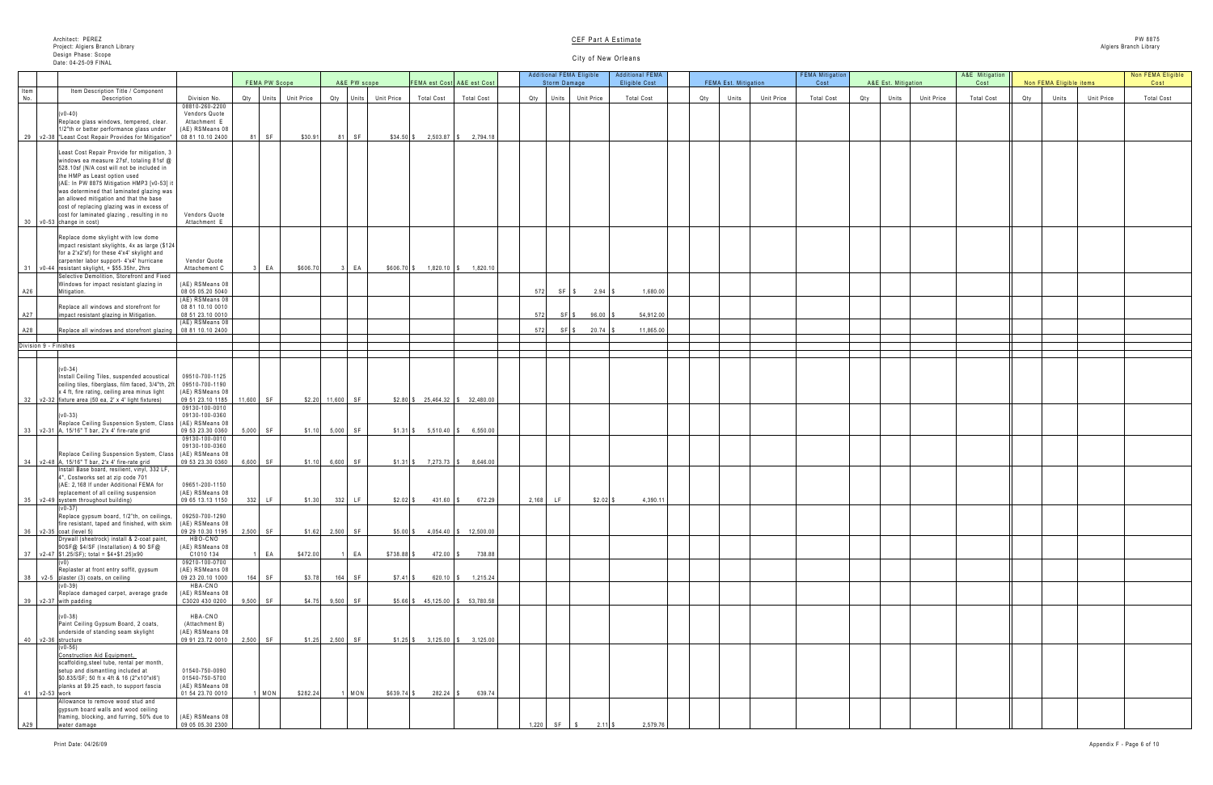|     | A&E Est. Mitigation |                   | A&E Mitigation<br>Cost |     | Non FEMA Eligible items |            | Non FEMA Eligible<br>Cost |
|-----|---------------------|-------------------|------------------------|-----|-------------------------|------------|---------------------------|
| Qty | Units               | <b>Unit Price</b> | <b>Total Cost</b>      | Qty | Units                   | Unit Price | <b>Total Cost</b>         |
|     |                     |                   |                        |     |                         |            |                           |
|     |                     |                   |                        |     |                         |            |                           |
|     |                     |                   |                        |     |                         |            |                           |
|     |                     |                   |                        |     |                         |            |                           |
|     |                     |                   |                        |     |                         |            |                           |
|     |                     |                   |                        |     |                         |            |                           |
|     |                     |                   |                        |     |                         |            |                           |
|     |                     |                   |                        |     |                         |            |                           |
|     |                     |                   |                        |     |                         |            |                           |
|     |                     |                   |                        |     |                         |            |                           |
|     |                     |                   |                        |     |                         |            |                           |
|     |                     |                   |                        |     |                         |            |                           |
|     |                     |                   |                        |     |                         |            |                           |
|     |                     |                   |                        |     |                         |            |                           |
|     |                     |                   |                        |     |                         |            |                           |
|     |                     |                   |                        |     |                         |            |                           |
|     |                     |                   |                        |     |                         |            |                           |
|     |                     |                   |                        |     |                         |            |                           |
|     |                     |                   |                        |     |                         |            |                           |
|     |                     |                   |                        |     |                         |            |                           |
|     |                     |                   |                        |     |                         |            |                           |
|     |                     |                   |                        |     |                         |            |                           |
|     |                     |                   |                        |     |                         |            |                           |
|     |                     |                   |                        |     |                         |            |                           |
|     |                     |                   |                        |     |                         |            |                           |
|     |                     |                   |                        |     |                         |            |                           |
|     |                     |                   |                        |     |                         |            |                           |
|     |                     |                   |                        |     |                         |            |                           |
|     |                     |                   |                        |     |                         |            |                           |
|     |                     |                   |                        |     |                         |            |                           |
|     |                     |                   |                        |     |                         |            |                           |
|     |                     |                   |                        |     |                         |            |                           |
|     |                     |                   |                        |     |                         |            |                           |
|     |                     |                   |                        |     |                         |            |                           |
|     |                     |                   |                        |     |                         |            |                           |

|      |                                                                                                          |                                      |               |                      |                     |              |              |                        |                                       |       |              | <b>Additional FEMA Eligible</b> | <b>Additional FEMA</b> |     |                             |                   | <b>FEMA Mitigation</b> |     |                     |                   | A&E Mitigation    |     |                         |                   | Non FEMA Eli      |
|------|----------------------------------------------------------------------------------------------------------|--------------------------------------|---------------|----------------------|---------------------|--------------|--------------|------------------------|---------------------------------------|-------|--------------|---------------------------------|------------------------|-----|-----------------------------|-------------------|------------------------|-----|---------------------|-------------------|-------------------|-----|-------------------------|-------------------|-------------------|
| Item | Item Description Title / Component                                                                       |                                      | FEMA PW Scope |                      |                     | A&E PW scope |              |                        | <b>FEMA est Cost</b> A&E est Cost     |       | Storm Damage |                                 | <b>Eligible Cost</b>   |     | <b>FEMA Est. Mitigation</b> |                   | Cost                   |     | A&E Est. Mitigation |                   | Cost              |     | Non FEMA Eligible items |                   | Cost              |
| No.  | Description                                                                                              | Division No.                         |               | Qty Units Unit Price |                     | Qty Units    | Unit Price   | <b>Total Cost</b>      | <b>Total Cost</b>                     | Qty   | Units        | <b>Unit Price</b>               | <b>Total Cost</b>      | Qty | Units                       | <b>Unit Price</b> | <b>Total Cost</b>      | Qty | Units               | <b>Unit Price</b> | <b>Total Cost</b> | Qty | Units                   | <b>Unit Price</b> | <b>Total Cost</b> |
|      | $(v0-40)$                                                                                                | 08810-260-2200                       |               |                      |                     |              |              |                        |                                       |       |              |                                 |                        |     |                             |                   |                        |     |                     |                   |                   |     |                         |                   |                   |
|      | Replace glass windows, tempered, clear.                                                                  | Vendors Quote<br>Attachment E        |               |                      |                     |              |              |                        |                                       |       |              |                                 |                        |     |                             |                   |                        |     |                     |                   |                   |     |                         |                   |                   |
|      | 1/2"th or better performance glass under                                                                 | (AE) RSMeans 08                      |               |                      |                     |              |              |                        |                                       |       |              |                                 |                        |     |                             |                   |                        |     |                     |                   |                   |     |                         |                   |                   |
|      | 29   v2-38  "Least Cost Repair Provides for Mitigation"                                                  | 08 81 10.10 2400                     | 81 SF         | \$30.91              |                     | <b>SF</b>    | $$34.50$ \\$ |                        | $2,503.87$ \$ 2,794.18                |       |              |                                 |                        |     |                             |                   |                        |     |                     |                   |                   |     |                         |                   |                   |
|      | Least Cost Repair Provide for mitigation, 3                                                              |                                      |               |                      |                     |              |              |                        |                                       |       |              |                                 |                        |     |                             |                   |                        |     |                     |                   |                   |     |                         |                   |                   |
|      | windows ea measure 27sf, totaling 81sf @                                                                 |                                      |               |                      |                     |              |              |                        |                                       |       |              |                                 |                        |     |                             |                   |                        |     |                     |                   |                   |     |                         |                   |                   |
|      | 528.10sf (N/A cost will not be included in                                                               |                                      |               |                      |                     |              |              |                        |                                       |       |              |                                 |                        |     |                             |                   |                        |     |                     |                   |                   |     |                         |                   |                   |
|      | the HMP as Least option used                                                                             |                                      |               |                      |                     |              |              |                        |                                       |       |              |                                 |                        |     |                             |                   |                        |     |                     |                   |                   |     |                         |                   |                   |
|      | (AE: In PW 8875 Mitigation HMP3 [v0-53] it                                                               |                                      |               |                      |                     |              |              |                        |                                       |       |              |                                 |                        |     |                             |                   |                        |     |                     |                   |                   |     |                         |                   |                   |
|      | was determined that laminated glazing was<br>an allowed mitigation and that the base                     |                                      |               |                      |                     |              |              |                        |                                       |       |              |                                 |                        |     |                             |                   |                        |     |                     |                   |                   |     |                         |                   |                   |
|      | cost of replacing glazing was in excess of                                                               |                                      |               |                      |                     |              |              |                        |                                       |       |              |                                 |                        |     |                             |                   |                        |     |                     |                   |                   |     |                         |                   |                   |
|      | cost for laminated glazing, resulting in no                                                              | Vendors Quote                        |               |                      |                     |              |              |                        |                                       |       |              |                                 |                        |     |                             |                   |                        |     |                     |                   |                   |     |                         |                   |                   |
|      | $30 \mid v0-53$ change in cost)                                                                          | Attachment E                         |               |                      |                     |              |              |                        |                                       |       |              |                                 |                        |     |                             |                   |                        |     |                     |                   |                   |     |                         |                   |                   |
|      | Replace dome skylight with low dome                                                                      |                                      |               |                      |                     |              |              |                        |                                       |       |              |                                 |                        |     |                             |                   |                        |     |                     |                   |                   |     |                         |                   |                   |
|      | impact resistant skylights, 4x as large (\$124)                                                          |                                      |               |                      |                     |              |              |                        |                                       |       |              |                                 |                        |     |                             |                   |                        |     |                     |                   |                   |     |                         |                   |                   |
|      | for a 2'x2'sf) for these 4'x4' skylight and                                                              |                                      |               |                      |                     |              |              |                        |                                       |       |              |                                 |                        |     |                             |                   |                        |     |                     |                   |                   |     |                         |                   |                   |
|      | carpenter labor support- 4'x4' hurricane                                                                 | Vendor Quote                         |               |                      |                     |              |              |                        |                                       |       |              |                                 |                        |     |                             |                   |                        |     |                     |                   |                   |     |                         |                   |                   |
|      | $31$ $\sqrt{0.44}$ resistant skylight, $+$ \$55.35hr, 2hrs<br>Selective Demolition, Storefront and Fixed | Attachement C                        | E A           | \$606.70             |                     | EA           |              | \$606.70 \$1,820.10 \$ | 1,820.10                              |       |              |                                 |                        |     |                             |                   |                        |     |                     |                   |                   |     |                         |                   |                   |
|      | Windows for impact resistant glazing in                                                                  | (AE) RSMeans 08                      |               |                      |                     |              |              |                        |                                       |       |              |                                 |                        |     |                             |                   |                        |     |                     |                   |                   |     |                         |                   |                   |
| A26  | Mitigation.                                                                                              | 08 05 05.20 5040                     |               |                      |                     |              |              |                        |                                       |       |              | $572$ SF \$ 2.94 \$             | 1,680.00               |     |                             |                   |                        |     |                     |                   |                   |     |                         |                   |                   |
|      |                                                                                                          | (AE) RSMeans 08                      |               |                      |                     |              |              |                        |                                       |       |              |                                 |                        |     |                             |                   |                        |     |                     |                   |                   |     |                         |                   |                   |
| A27  | Replace all windows and storefront for                                                                   | 08 81 10.10 0010<br>08 51 23.10 0010 |               |                      |                     |              |              |                        |                                       | 5721  | SFS          | $96.00$ \$                      | 54,912.00              |     |                             |                   |                        |     |                     |                   |                   |     |                         |                   |                   |
|      | impact resistant glazing in Mitigation.                                                                  | (AE) RSMeans 08                      |               |                      |                     |              |              |                        |                                       |       |              |                                 |                        |     |                             |                   |                        |     |                     |                   |                   |     |                         |                   |                   |
| A28  | Replace all windows and storefront glazing   08 81 10.10 2400                                            |                                      |               |                      |                     |              |              |                        |                                       |       | SF S         | $20.74$ \$                      | 11,865.00              |     |                             |                   |                        |     |                     |                   |                   |     |                         |                   |                   |
|      | Division 9 - Finishes                                                                                    |                                      |               |                      |                     |              |              |                        |                                       |       |              |                                 |                        |     |                             |                   |                        |     |                     |                   |                   |     |                         |                   |                   |
|      |                                                                                                          |                                      |               |                      |                     |              |              |                        |                                       |       |              |                                 |                        |     |                             |                   |                        |     |                     |                   |                   |     |                         |                   |                   |
|      |                                                                                                          |                                      |               |                      |                     |              |              |                        |                                       |       |              |                                 |                        |     |                             |                   |                        |     |                     |                   |                   |     |                         |                   |                   |
|      | $(v0-34)$                                                                                                | 09510-700-1125                       |               |                      |                     |              |              |                        |                                       |       |              |                                 |                        |     |                             |                   |                        |     |                     |                   |                   |     |                         |                   |                   |
|      | Install Ceiling Tiles, suspended acoustical<br>ceiling tiles, fiberglass, film faced, 3/4"th, 2ft        | 09510-700-1190                       |               |                      |                     |              |              |                        |                                       |       |              |                                 |                        |     |                             |                   |                        |     |                     |                   |                   |     |                         |                   |                   |
|      | x 4 ft, fire rating, ceiling area minus light                                                            | (AE) RSMeans 08                      |               |                      |                     |              |              |                        |                                       |       |              |                                 |                        |     |                             |                   |                        |     |                     |                   |                   |     |                         |                   |                   |
|      | $32 \mid v2-32$ fixture area (50 ea, 2' x 4' light fixtures)                                             | 09 51 23.10 1185 11,600 SF           |               |                      | $$2.20$ 11,600 SF   |              |              |                        | $$2.80$ \ \$ 25,464.32 \ \$ 32,480.00 |       |              |                                 |                        |     |                             |                   |                        |     |                     |                   |                   |     |                         |                   |                   |
|      |                                                                                                          | 09130-100-0010                       |               |                      |                     |              |              |                        |                                       |       |              |                                 |                        |     |                             |                   |                        |     |                     |                   |                   |     |                         |                   |                   |
|      | $(v0-33)$<br>Replace Ceiling Suspension System, Class                                                    | 09130-100-0360<br>(AE) RSMeans 08    |               |                      |                     |              |              |                        |                                       |       |              |                                 |                        |     |                             |                   |                        |     |                     |                   |                   |     |                         |                   |                   |
|      | $33$ v2-31 A, 15/16" T bar, 2'x 4' fire-rate grid                                                        | 09 53 23.30 0360                     | $5,000$ SF    |                      | $$1.10$ $$5,000$ SF |              |              |                        | $$1.31$ $$5,510.40$ $$6,550.00$       |       |              |                                 |                        |     |                             |                   |                        |     |                     |                   |                   |     |                         |                   |                   |
|      |                                                                                                          | 09130-100-0010                       |               |                      |                     |              |              |                        |                                       |       |              |                                 |                        |     |                             |                   |                        |     |                     |                   |                   |     |                         |                   |                   |
|      |                                                                                                          | 09130-100-0360                       |               |                      |                     |              |              |                        |                                       |       |              |                                 |                        |     |                             |                   |                        |     |                     |                   |                   |     |                         |                   |                   |
|      | Replace Ceiling Suspension System, Class<br>$34$ $\sqrt{2-48}$ A, 15/16" T bar, 2'x 4' fire-rate grid    | (AE) RSMeans 08<br>09 53 23.30 0360  | $6,600$ SF    |                      | $$1.10$ 6,600 SF    |              |              |                        | $$1.31$ $$7,273.73$ $$8,646.00$       |       |              |                                 |                        |     |                             |                   |                        |     |                     |                   |                   |     |                         |                   |                   |
|      | Install Base board, resilient, vinyl, 332 LF,                                                            |                                      |               |                      |                     |              |              |                        |                                       |       |              |                                 |                        |     |                             |                   |                        |     |                     |                   |                   |     |                         |                   |                   |
|      | 4", Costworks set at zip code 701                                                                        |                                      |               |                      |                     |              |              |                        |                                       |       |              |                                 |                        |     |                             |                   |                        |     |                     |                   |                   |     |                         |                   |                   |
|      | (AE: 2,168 If under Additional FEMA for                                                                  | 09651-200-1150                       |               |                      |                     |              |              |                        |                                       |       |              |                                 |                        |     |                             |                   |                        |     |                     |                   |                   |     |                         |                   |                   |
|      | replacement of all ceiling suspension<br>35 v2-49 system throughout building)                            | (AE) RSMeans 08<br>09 65 13.13 1150  | $332$ LF      | \$1.30               |                     | 332 LF       | $$2.02$ \$   | $431.60$ \$            | 672.29                                | 2,168 | LF           | $$2.02$ \ $$$                   | 4,390.11               |     |                             |                   |                        |     |                     |                   |                   |     |                         |                   |                   |
|      | $(v0-37)$                                                                                                |                                      |               |                      |                     |              |              |                        |                                       |       |              |                                 |                        |     |                             |                   |                        |     |                     |                   |                   |     |                         |                   |                   |
|      | Replace gypsum board, $1/2$ "th, on ceilings, $\parallel$                                                | 09250-700-1290                       |               |                      |                     |              |              |                        |                                       |       |              |                                 |                        |     |                             |                   |                        |     |                     |                   |                   |     |                         |                   |                   |
|      | fire resistant, taped and finished, with skim<br>$36$ $\sqrt{2-35}$ coat (level 5)                       | (AE) RSMeans 08<br>09 29 10.30 1195  | $2,500$ SF    | \$1.62               | $2,500$ SF          |              | $$5.00$ \$   |                        | $4,054.40$ \$ 12,500.00               |       |              |                                 |                        |     |                             |                   |                        |     |                     |                   |                   |     |                         |                   |                   |
|      | Drywall (sheetrock) install & 2-coat paint,                                                              | HBO-CNO                              |               |                      |                     |              |              |                        |                                       |       |              |                                 |                        |     |                             |                   |                        |     |                     |                   |                   |     |                         |                   |                   |
|      | 90SF@ \$4/SF (Installation) & 90 SF@                                                                     | (AE) RSMeans 08                      |               |                      |                     |              |              |                        |                                       |       |              |                                 |                        |     |                             |                   |                        |     |                     |                   |                   |     |                         |                   |                   |
|      | $37$   v2-47   \$1.25/SF); total = \$4+\$1.25)x90                                                        | C1010 134                            | $E^A$         | \$472.00             |                     | EA           | $$738.88$ \$ | $472.00$ \\$           | 738.88                                |       |              |                                 |                        |     |                             |                   |                        |     |                     |                   |                   |     |                         |                   |                   |
|      | Replaster at front entry soffit, gypsum                                                                  | 09210-100-0700<br>(AE) RSMeans 08    |               |                      |                     |              |              |                        |                                       |       |              |                                 |                        |     |                             |                   |                        |     |                     |                   |                   |     |                         |                   |                   |
|      | 38   v2-5   plaster (3) coats, on ceiling                                                                | 09 23 20.10 1000                     | $164$ SF      | \$3.78               |                     | $164$ SF     | $$7.41$ \$   |                        | $620.10$ \$ 1,215.24                  |       |              |                                 |                        |     |                             |                   |                        |     |                     |                   |                   |     |                         |                   |                   |
|      | $(v0-39)$                                                                                                | HBA-CNO                              |               |                      |                     |              |              |                        |                                       |       |              |                                 |                        |     |                             |                   |                        |     |                     |                   |                   |     |                         |                   |                   |
|      | Replace damaged carpet, average grade<br>$39$ $\sqrt{2-37}$ with padding                                 | (AE) RSMeans 08<br>C3020 430 0200    | $9,500$ SF    | \$4.75               | $9,500$ SF          |              |              |                        | $$5.66$ \$ 45,125.00 \$ 53,780.58     |       |              |                                 |                        |     |                             |                   |                        |     |                     |                   |                   |     |                         |                   |                   |
|      |                                                                                                          |                                      |               |                      |                     |              |              |                        |                                       |       |              |                                 |                        |     |                             |                   |                        |     |                     |                   |                   |     |                         |                   |                   |
|      | $(v0-38)$                                                                                                | HBA-CNO                              |               |                      |                     |              |              |                        |                                       |       |              |                                 |                        |     |                             |                   |                        |     |                     |                   |                   |     |                         |                   |                   |
|      | Paint Ceiling Gypsum Board, 2 coats,                                                                     | (Attachment B)                       |               |                      |                     |              |              |                        |                                       |       |              |                                 |                        |     |                             |                   |                        |     |                     |                   |                   |     |                         |                   |                   |
|      | underside of standing seam skylight<br>$40$ $\sqrt{2-36}$ structure                                      | (AE) RSMeans 08<br>09 91 23.72 0010  | $2,500$ SF    | \$1.25               | $2,500$ SF          |              | $$1.25$ $$$  |                        | $3,125.00$ $\boxed{\$}$ $3,125.00$    |       |              |                                 |                        |     |                             |                   |                        |     |                     |                   |                   |     |                         |                   |                   |
|      | $(v0-56)$                                                                                                |                                      |               |                      |                     |              |              |                        |                                       |       |              |                                 |                        |     |                             |                   |                        |     |                     |                   |                   |     |                         |                   |                   |
|      | Construction Aid Equipment,                                                                              |                                      |               |                      |                     |              |              |                        |                                       |       |              |                                 |                        |     |                             |                   |                        |     |                     |                   |                   |     |                         |                   |                   |
|      | scaffolding, steel tube, rental per month,                                                               |                                      |               |                      |                     |              |              |                        |                                       |       |              |                                 |                        |     |                             |                   |                        |     |                     |                   |                   |     |                         |                   |                   |
|      | setup and dismantling included at<br>\$0.835/SF; 50 ft x 4ft & 16 (2"x10"xl6")                           | 01540-750-0090<br>01540-750-5700     |               |                      |                     |              |              |                        |                                       |       |              |                                 |                        |     |                             |                   |                        |     |                     |                   |                   |     |                         |                   |                   |
|      | planks at \$9.25 each, to support fascia                                                                 | (AE) RSMeans 08                      |               |                      |                     |              |              |                        |                                       |       |              |                                 |                        |     |                             |                   |                        |     |                     |                   |                   |     |                         |                   |                   |
|      | 41 v2-53 work                                                                                            | 01 54 23.70 0010                     | MON           | \$282.24             |                     | 1 MON        | $$639.74$ \$ | $282.24$ \$            | 639.74                                |       |              |                                 |                        |     |                             |                   |                        |     |                     |                   |                   |     |                         |                   |                   |
|      | Allowance to remove wood stud and                                                                        |                                      |               |                      |                     |              |              |                        |                                       |       |              |                                 |                        |     |                             |                   |                        |     |                     |                   |                   |     |                         |                   |                   |
|      | gypsum board walls and wood ceiling                                                                      |                                      |               |                      |                     |              |              |                        |                                       |       |              |                                 |                        |     |                             |                   |                        |     |                     |                   |                   |     |                         |                   |                   |
| A29  | framing, blocking, and furring, 50% due to<br>water damage                                               | (AE) RSMeans 08<br>09 05 05.30 2300  |               |                      |                     |              |              |                        |                                       | 1,220 | SF           |                                 | 2,579.76               |     |                             |                   |                        |     |                     |                   |                   |     |                         |                   |                   |
|      |                                                                                                          |                                      |               |                      |                     |              |              |                        |                                       |       |              |                                 |                        |     |                             |                   |                        |     |                     |                   |                   |     |                         |                   |                   |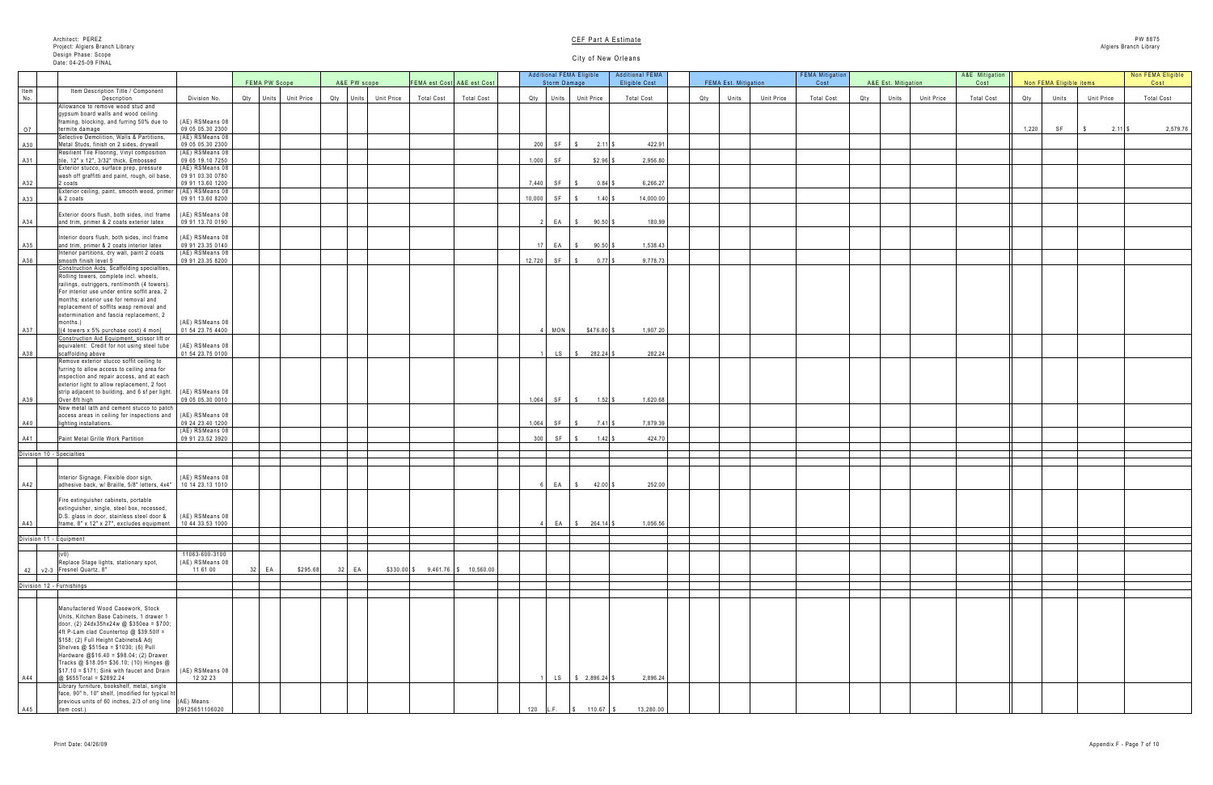| Est. Mitigation     | A&E Mitigation<br>Cost |       | Non FEMA Eligible items           |                                | Non FEMA Eligible<br>Cost |
|---------------------|------------------------|-------|-----------------------------------|--------------------------------|---------------------------|
|                     |                        |       |                                   |                                |                           |
| Unit Price<br>Units | <b>Total Cost</b>      | Qty   | Units                             | Unit Price                     | Total Cost                |
|                     |                        |       |                                   |                                |                           |
|                     |                        | 1,220 | $\ensuremath{\mathsf{SF}}\xspace$ | $2.11$ \$<br>$\boldsymbol{\$}$ | 2,579.76                  |
|                     |                        |       |                                   |                                |                           |
|                     |                        |       |                                   |                                |                           |
|                     |                        |       |                                   |                                |                           |
|                     |                        |       |                                   |                                |                           |
|                     |                        |       |                                   |                                |                           |
|                     |                        |       |                                   |                                |                           |
|                     |                        |       |                                   |                                |                           |
|                     |                        |       |                                   |                                |                           |
|                     |                        |       |                                   |                                |                           |
|                     |                        |       |                                   |                                |                           |
|                     |                        |       |                                   |                                |                           |
|                     |                        |       |                                   |                                |                           |
|                     |                        |       |                                   |                                |                           |
|                     |                        |       |                                   |                                |                           |
|                     |                        |       |                                   |                                |                           |
|                     |                        |       |                                   |                                |                           |
|                     |                        |       |                                   |                                |                           |
|                     |                        |       |                                   |                                |                           |
|                     |                        |       |                                   |                                |                           |
|                     |                        |       |                                   |                                |                           |
|                     |                        |       |                                   |                                |                           |
|                     |                        |       |                                   |                                |                           |
|                     |                        |       |                                   |                                |                           |
|                     |                        |       |                                   |                                |                           |
|                     |                        |       |                                   |                                |                           |
|                     |                        |       |                                   |                                |                           |
|                     |                        |       |                                   |                                |                           |
|                     |                        |       |                                   |                                |                           |
|                     |                        |       |                                   |                                |                           |
|                     |                        |       |                                   |                                |                           |
|                     |                        |       |                                   |                                |                           |
|                     |                        |       |                                   |                                |                           |
|                     |                        |       |                                   |                                |                           |
|                     |                        |       |                                   |                                |                           |
|                     |                        |       |                                   |                                |                           |
|                     |                        |       |                                   |                                |                           |
|                     |                        |       |                                   |                                |                           |
|                     |                        |       |                                   |                                |                           |
|                     |                        |       |                                   |                                |                           |
|                     |                        |       |                                   |                                |                           |
|                     |                        |       |                                   |                                |                           |
|                     |                        |       |                                   |                                |                           |

|      |                                                                                                                |                                       |               |                      |                                  |                   |                                    |       | <b>Additional FEMA Eligible</b>                                                                   | <b>Additional FEMA</b> |                      |                   | <b>FEMA Mitigation</b> |     |                     |                   | A&E Mitigation    |       |                         |                   | Non FEMA Eligible |
|------|----------------------------------------------------------------------------------------------------------------|---------------------------------------|---------------|----------------------|----------------------------------|-------------------|------------------------------------|-------|---------------------------------------------------------------------------------------------------|------------------------|----------------------|-------------------|------------------------|-----|---------------------|-------------------|-------------------|-------|-------------------------|-------------------|-------------------|
|      |                                                                                                                |                                       | FEMA PW Scope |                      | A&E PW scope                     |                   | FEMA est Cost A&E est Cost         |       | Storm Damage                                                                                      | <b>Eligible Cost</b>   | FEMA Est. Mitigation |                   | Cost                   |     | A&E Est. Mitigation |                   | Cost              |       | Non FEMA Eligible items |                   | Cost              |
| Item | Item Description Title / Component                                                                             |                                       |               |                      |                                  |                   |                                    |       |                                                                                                   |                        |                      |                   |                        |     |                     |                   |                   |       |                         |                   |                   |
| No.  | Description                                                                                                    | Division No.                          |               | Qty Units Unit Price | <b>Unit Price</b><br>Qty Units I | <b>Total Cost</b> | <b>Total Cost</b>                  |       | Qty Units Unit Price                                                                              | <b>Total Cost</b>      | Qty  <br>Units       | <b>Unit Price</b> | <b>Total Cost</b>      | Qty | Units               | <b>Unit Price</b> | <b>Total Cost</b> | Qty   | Units                   | <b>Unit Price</b> | <b>Total Cost</b> |
|      | Allowance to remove wood stud and<br>gypsum board walls and wood ceiling                                       |                                       |               |                      |                                  |                   |                                    |       |                                                                                                   |                        |                      |                   |                        |     |                     |                   |                   |       |                         |                   |                   |
|      | framing, blocking, and furring 50% due to                                                                      | $(AE)$ RSMeans 08                     |               |                      |                                  |                   |                                    |       |                                                                                                   |                        |                      |                   |                        |     |                     |                   |                   |       |                         |                   |                   |
| O7   | termite damage                                                                                                 | 09 05 05.30 2300                      |               |                      |                                  |                   |                                    |       |                                                                                                   |                        |                      |                   |                        |     |                     |                   |                   | 1,220 | SF                      | $2.11$ \$         | 2,579.76          |
|      | Selective Demolition, Walls & Partitions,                                                                      | (AE) RSMeans 08                       |               |                      |                                  |                   |                                    |       |                                                                                                   |                        |                      |                   |                        |     |                     |                   |                   |       |                         |                   |                   |
| A30  | Metal Studs, finish on 2 sides, drywall                                                                        | 09 05 05.30 2300                      |               |                      |                                  |                   |                                    | 200   | $2.11$ \$<br>SF                                                                                   | 422.91                 |                      |                   |                        |     |                     |                   |                   |       |                         |                   |                   |
|      | Resilient Tile Flooring, Vinyl composition<br>tile, 12" x 12", 3/32" thick, Embossed                           | (AE) RSMeans 08<br>09 65 19.10 7250   |               |                      |                                  |                   |                                    | 1,000 | \$2.96<br>SF                                                                                      | 2,956.80               |                      |                   |                        |     |                     |                   |                   |       |                         |                   |                   |
| A31  | Exterior stucco, surface prep, pressure                                                                        | (AE) RSMeans 08                       |               |                      |                                  |                   |                                    |       |                                                                                                   |                        |                      |                   |                        |     |                     |                   |                   |       |                         |                   |                   |
|      | wash off graffitti and paint, rough, oil base,                                                                 | 09 91 03.30 0780                      |               |                      |                                  |                   |                                    |       |                                                                                                   |                        |                      |                   |                        |     |                     |                   |                   |       |                         |                   |                   |
| A32  | 2 coats                                                                                                        | 09 91 13.60 1200                      |               |                      |                                  |                   |                                    |       | 7,440 SF<br>$0.84$ \$                                                                             | 6,266.27               |                      |                   |                        |     |                     |                   |                   |       |                         |                   |                   |
|      | Exterior ceiling, paint, smooth wood, primer                                                                   | (AE) RSMeans 08                       |               |                      |                                  |                   |                                    |       |                                                                                                   |                        |                      |                   |                        |     |                     |                   |                   |       |                         |                   |                   |
| A33  | & 2 coats                                                                                                      | 09 91 13.60 8200                      |               |                      |                                  |                   |                                    |       | 10,000 SF<br>1.40 \$                                                                              | 14,000.00              |                      |                   |                        |     |                     |                   |                   |       |                         |                   |                   |
|      | Exterior doors flush, both sides, incl frame   (AE) RSMeans 08                                                 |                                       |               |                      |                                  |                   |                                    |       |                                                                                                   |                        |                      |                   |                        |     |                     |                   |                   |       |                         |                   |                   |
| A34  | and trim, primer & 2 coats exterior latex                                                                      | 09 91 13.70 0190                      |               |                      |                                  |                   |                                    |       | EA \$<br>$90.50$ \$                                                                               | 180.99                 |                      |                   |                        |     |                     |                   |                   |       |                         |                   |                   |
|      |                                                                                                                |                                       |               |                      |                                  |                   |                                    |       |                                                                                                   |                        |                      |                   |                        |     |                     |                   |                   |       |                         |                   |                   |
|      | Interior doors flush, both sides, incl frame                                                                   | (AE) RSMeans 08                       |               |                      |                                  |                   |                                    |       |                                                                                                   |                        |                      |                   |                        |     |                     |                   |                   |       |                         |                   |                   |
| A35  | and trim, primer & 2 coats interior latex                                                                      | 099123.350140                         |               |                      |                                  |                   |                                    | 17 L  | $90.50$ \$<br>EA                                                                                  | 1,538.43               |                      |                   |                        |     |                     |                   |                   |       |                         |                   |                   |
|      | Interior partitions, dry wall, paint 2 coats<br>smooth finish level 5                                          | $(AE)$ RSMeans 08<br>09 91 23.35 8200 |               |                      |                                  |                   |                                    |       | 12,720 SF<br>$0.77$ $\vert$ \$                                                                    | 9,778.73               |                      |                   |                        |     |                     |                   |                   |       |                         |                   |                   |
| A36  | Construction Aids, Scaffolding specialties,                                                                    |                                       |               |                      |                                  |                   |                                    |       |                                                                                                   |                        |                      |                   |                        |     |                     |                   |                   |       |                         |                   |                   |
|      | Rolling towers, complete incl. wheels,                                                                         |                                       |               |                      |                                  |                   |                                    |       |                                                                                                   |                        |                      |                   |                        |     |                     |                   |                   |       |                         |                   |                   |
|      | railings, outriggers, rent/month (4 towers).                                                                   |                                       |               |                      |                                  |                   |                                    |       |                                                                                                   |                        |                      |                   |                        |     |                     |                   |                   |       |                         |                   |                   |
|      | For interior use under entire soffit area, 2                                                                   |                                       |               |                      |                                  |                   |                                    |       |                                                                                                   |                        |                      |                   |                        |     |                     |                   |                   |       |                         |                   |                   |
|      | months; exterior use for removal and                                                                           |                                       |               |                      |                                  |                   |                                    |       |                                                                                                   |                        |                      |                   |                        |     |                     |                   |                   |       |                         |                   |                   |
|      | replacement of soffits wasp removal and<br>extermination and fascia replacement, 2                             |                                       |               |                      |                                  |                   |                                    |       |                                                                                                   |                        |                      |                   |                        |     |                     |                   |                   |       |                         |                   |                   |
|      | months.)                                                                                                       | (AE) RSMeans 08                       |               |                      |                                  |                   |                                    |       |                                                                                                   |                        |                      |                   |                        |     |                     |                   |                   |       |                         |                   |                   |
| A37  | $[(4 \text{ towers} \times 5\% \text{ purchase cost}) 4 \text{ mon}]$                                          | 01 54 23.75 4400                      |               |                      |                                  |                   |                                    |       | $\blacksquare$ MON<br>$$476.80$ \$                                                                | 1,907.20               |                      |                   |                        |     |                     |                   |                   |       |                         |                   |                   |
|      | Construction Aid Equipment, scissor lift or                                                                    |                                       |               |                      |                                  |                   |                                    |       |                                                                                                   |                        |                      |                   |                        |     |                     |                   |                   |       |                         |                   |                   |
|      | equivalent: Credit for not using steel tube                                                                    | (AE) RSMeans 08 $\mid$                |               |                      |                                  |                   |                                    |       |                                                                                                   |                        |                      |                   |                        |     |                     |                   |                   |       |                         |                   |                   |
| A38  | scaffolding above                                                                                              | 01 54 23.75 0100                      |               |                      |                                  |                   |                                    |       | LS $\begin{array}{ c c c c c } \hline \text{S} & \text{3} & \text{282.24} & \text{5} \end{array}$ | 282.24                 |                      |                   |                        |     |                     |                   |                   |       |                         |                   |                   |
|      | Remove exterior stucco soffit ceiling to<br>furring to allow access to ceiling area for                        |                                       |               |                      |                                  |                   |                                    |       |                                                                                                   |                        |                      |                   |                        |     |                     |                   |                   |       |                         |                   |                   |
|      | inspection and repair access, and at each                                                                      |                                       |               |                      |                                  |                   |                                    |       |                                                                                                   |                        |                      |                   |                        |     |                     |                   |                   |       |                         |                   |                   |
|      | exterior light to allow replacement, 2 foot                                                                    |                                       |               |                      |                                  |                   |                                    |       |                                                                                                   |                        |                      |                   |                        |     |                     |                   |                   |       |                         |                   |                   |
|      | strip adjacent to building, and 6 sf per light.   (AE) RSMeans 08                                              |                                       |               |                      |                                  |                   |                                    |       |                                                                                                   |                        |                      |                   |                        |     |                     |                   |                   |       |                         |                   |                   |
| A39  | Over 8ft high                                                                                                  | 09 05 05.30 0010                      |               |                      |                                  |                   |                                    |       | $1,064$ SF<br>$1.52$ \$                                                                           | 1,620.68               |                      |                   |                        |     |                     |                   |                   |       |                         |                   |                   |
|      | New metal lath and cement stucco to patch                                                                      |                                       |               |                      |                                  |                   |                                    |       |                                                                                                   |                        |                      |                   |                        |     |                     |                   |                   |       |                         |                   |                   |
|      | access areas in ceiling for inspections and   (AE) RSMeans 08  <br>lighting installations.                     | 09 24 23.40 1200                      |               |                      |                                  |                   |                                    | 1,064 | $7.41$ \$<br>SF \$                                                                                | 7,879.39               |                      |                   |                        |     |                     |                   |                   |       |                         |                   |                   |
| A40  |                                                                                                                | (AE) RSMeans 08                       |               |                      |                                  |                   |                                    |       |                                                                                                   |                        |                      |                   |                        |     |                     |                   |                   |       |                         |                   |                   |
| A41  | Paint Metal Grille Work Partition                                                                              | 09 91 23.52 3920                      |               |                      |                                  |                   |                                    | $300$ | $SF \mid $$                                                                                       | 424.70                 |                      |                   |                        |     |                     |                   |                   |       |                         |                   |                   |
|      |                                                                                                                |                                       |               |                      |                                  |                   |                                    |       |                                                                                                   |                        |                      |                   |                        |     |                     |                   |                   |       |                         |                   |                   |
|      | Division 10 - Specialties                                                                                      |                                       |               |                      |                                  |                   |                                    |       |                                                                                                   |                        |                      |                   |                        |     |                     |                   |                   |       |                         |                   |                   |
|      |                                                                                                                |                                       |               |                      |                                  |                   |                                    |       |                                                                                                   |                        |                      |                   |                        |     |                     |                   |                   |       |                         |                   |                   |
|      | Interior Signage, Flexible door sign,                                                                          | (AE) RSMeans 08                       |               |                      |                                  |                   |                                    |       |                                                                                                   |                        |                      |                   |                        |     |                     |                   |                   |       |                         |                   |                   |
| A42  | adhesive back, w/ Braille, 5/8" letters, 4x4"                                                                  | 10 14 23.13 1010                      |               |                      |                                  |                   |                                    |       | $42.00$ \$<br>$EA$ \$                                                                             | 252.00                 |                      |                   |                        |     |                     |                   |                   |       |                         |                   |                   |
|      |                                                                                                                |                                       |               |                      |                                  |                   |                                    |       |                                                                                                   |                        |                      |                   |                        |     |                     |                   |                   |       |                         |                   |                   |
|      | Fire extinguisher cabinets, portable                                                                           |                                       |               |                      |                                  |                   |                                    |       |                                                                                                   |                        |                      |                   |                        |     |                     |                   |                   |       |                         |                   |                   |
|      | extinguisher, single, steel box, recessed,                                                                     |                                       |               |                      |                                  |                   |                                    |       |                                                                                                   |                        |                      |                   |                        |     |                     |                   |                   |       |                         |                   |                   |
|      | D.S. glass in door, stainless steel door &                                                                     | (AE) RSMeans 08<br>104433.531000      |               |                      |                                  |                   |                                    |       |                                                                                                   | 1,056.56               |                      |                   |                        |     |                     |                   |                   |       |                         |                   |                   |
| A43  | frame, 8" x 12" x 27", excludes equipment                                                                      |                                       |               |                      |                                  |                   |                                    |       | EA   \$ 264.14   \$                                                                               |                        |                      |                   |                        |     |                     |                   |                   |       |                         |                   |                   |
|      | Division 11 - Equipment                                                                                        |                                       |               |                      |                                  |                   |                                    |       |                                                                                                   |                        |                      |                   |                        |     |                     |                   |                   |       |                         |                   |                   |
|      |                                                                                                                |                                       |               |                      |                                  |                   |                                    |       |                                                                                                   |                        |                      |                   |                        |     |                     |                   |                   |       |                         |                   |                   |
|      |                                                                                                                | 11063-600-3100                        |               |                      |                                  |                   |                                    |       |                                                                                                   |                        |                      |                   |                        |     |                     |                   |                   |       |                         |                   |                   |
|      | Replace Stage lights, stationary spot,                                                                         | (AE) RSMeans 08                       |               |                      |                                  |                   |                                    |       |                                                                                                   |                        |                      |                   |                        |     |                     |                   |                   |       |                         |                   |                   |
|      | 42   v2-3   Fresnel Quartz, 8"                                                                                 | 11 61 00                              | EA            | \$295.68             | 32   EA                          |                   | $$330.00$ \$ 9,461.76 \$ 10,560.00 |       |                                                                                                   |                        |                      |                   |                        |     |                     |                   |                   |       |                         |                   |                   |
|      | Division 12 - Furnishings                                                                                      |                                       |               |                      |                                  |                   |                                    |       |                                                                                                   |                        |                      |                   |                        |     |                     |                   |                   |       |                         |                   |                   |
|      |                                                                                                                |                                       |               |                      |                                  |                   |                                    |       |                                                                                                   |                        |                      |                   |                        |     |                     |                   |                   |       |                         |                   |                   |
|      |                                                                                                                |                                       |               |                      |                                  |                   |                                    |       |                                                                                                   |                        |                      |                   |                        |     |                     |                   |                   |       |                         |                   |                   |
|      | Manufactered Wood Casework, Stock                                                                              |                                       |               |                      |                                  |                   |                                    |       |                                                                                                   |                        |                      |                   |                        |     |                     |                   |                   |       |                         |                   |                   |
|      | Units, Kitchen Base Cabinets, 1 drawer 1                                                                       |                                       |               |                      |                                  |                   |                                    |       |                                                                                                   |                        |                      |                   |                        |     |                     |                   |                   |       |                         |                   |                   |
|      | door, (2) $24dx35hx24w @ $350ea = $700;$<br>4ft P-Lam clad Countertop $@$ \$39.50If =                          |                                       |               |                      |                                  |                   |                                    |       |                                                                                                   |                        |                      |                   |                        |     |                     |                   |                   |       |                         |                   |                   |
|      | \$158; (2) Full Height Cabinets& Adj                                                                           |                                       |               |                      |                                  |                   |                                    |       |                                                                                                   |                        |                      |                   |                        |     |                     |                   |                   |       |                         |                   |                   |
|      | Shelves @ $$515ea = $1030; (6)$ Pull                                                                           |                                       |               |                      |                                  |                   |                                    |       |                                                                                                   |                        |                      |                   |                        |     |                     |                   |                   |       |                         |                   |                   |
|      | Hardware $@$16.40 = $98.04$ ; (2) Drawer                                                                       |                                       |               |                      |                                  |                   |                                    |       |                                                                                                   |                        |                      |                   |                        |     |                     |                   |                   |       |                         |                   |                   |
|      | Tracks @ \$18.05= \$36.10; (10) Hinges @                                                                       |                                       |               |                      |                                  |                   |                                    |       |                                                                                                   |                        |                      |                   |                        |     |                     |                   |                   |       |                         |                   |                   |
|      | $\frac{1}{2}$ \$17.10 = \$171; Sink with faucet and Drain   (AE) RSMeans 08<br>$\omega$ \$655Total = \$2892.24 | 12 32 23                              |               |                      |                                  |                   |                                    |       | LS   \$ 2,896.24 \$                                                                               | 2,896.24               |                      |                   |                        |     |                     |                   |                   |       |                         |                   |                   |
| A44  | Library furniture, bookshelf, metal, single                                                                    |                                       |               |                      |                                  |                   |                                    |       |                                                                                                   |                        |                      |                   |                        |     |                     |                   |                   |       |                         |                   |                   |
|      | face, 90" h, 10" shelf, (modified for typical h                                                                |                                       |               |                      |                                  |                   |                                    |       |                                                                                                   |                        |                      |                   |                        |     |                     |                   |                   |       |                         |                   |                   |
|      | previous units of 60 inches, $2/3$ of orig line $(AE)$ Means                                                   |                                       |               |                      |                                  |                   |                                    |       |                                                                                                   |                        |                      |                   |                        |     |                     |                   |                   |       |                         |                   |                   |
| A45  | item cost.)                                                                                                    | 09125651106020                        |               |                      |                                  |                   |                                    | 120   | L.F.<br>$\frac{1}{3}$ 110.67 \$                                                                   | 13,280.00              |                      |                   |                        |     |                     |                   |                   |       |                         |                   |                   |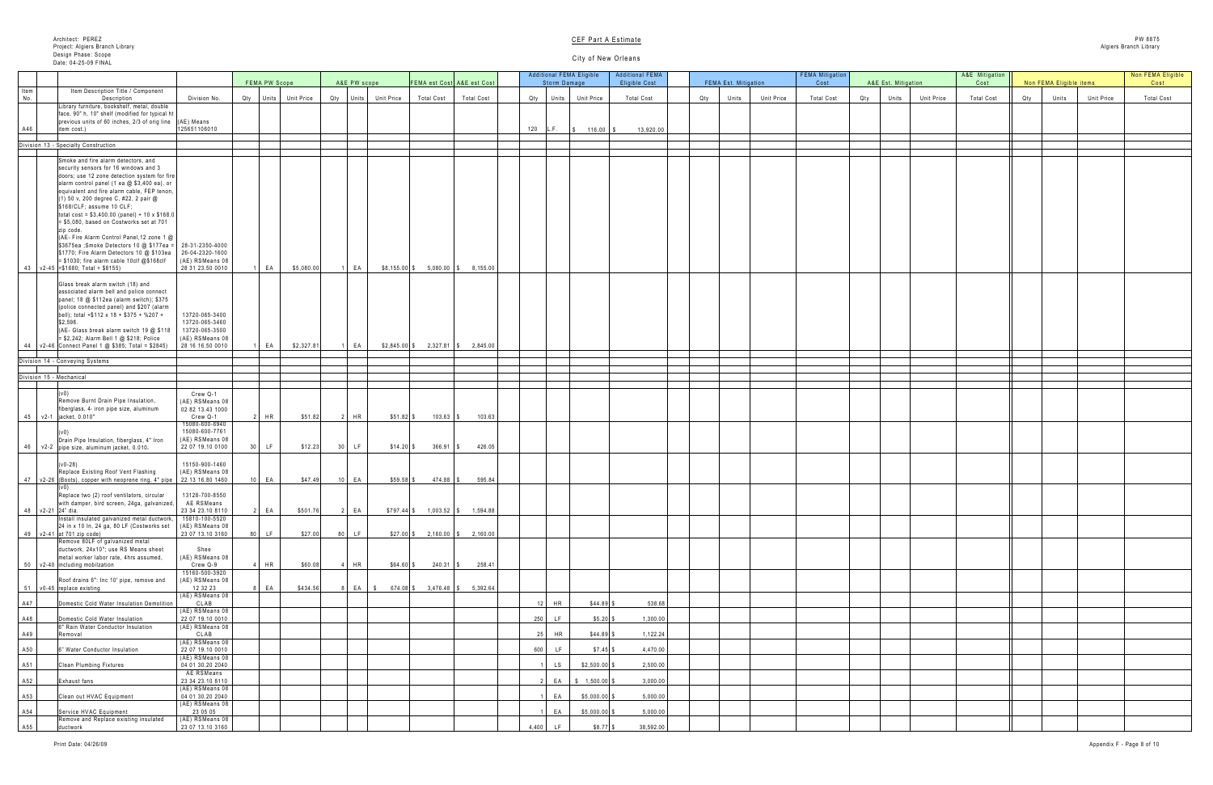|     | A&E Est. Mitigation |            | A&E Mitigation<br>Cost |     | Non FEMA Eligible items | Non FEMA Eligible<br>Cost |                   |  |  |  |
|-----|---------------------|------------|------------------------|-----|-------------------------|---------------------------|-------------------|--|--|--|
| Qty | Units               | Unit Price | <b>Total Cost</b>      | Qty | Units                   | Unit Price                | <b>Total Cost</b> |  |  |  |
|     |                     |            |                        |     |                         |                           |                   |  |  |  |
|     |                     |            |                        |     |                         |                           |                   |  |  |  |
|     |                     |            |                        |     |                         |                           |                   |  |  |  |
|     |                     |            |                        |     |                         |                           |                   |  |  |  |
|     |                     |            |                        |     |                         |                           |                   |  |  |  |
|     |                     |            |                        |     |                         |                           |                   |  |  |  |
|     |                     |            |                        |     |                         |                           |                   |  |  |  |
|     |                     |            |                        |     |                         |                           |                   |  |  |  |
|     |                     |            |                        |     |                         |                           |                   |  |  |  |
|     |                     |            |                        |     |                         |                           |                   |  |  |  |
|     |                     |            |                        |     |                         |                           |                   |  |  |  |
|     |                     |            |                        |     |                         |                           |                   |  |  |  |
|     |                     |            |                        |     |                         |                           |                   |  |  |  |
|     |                     |            |                        |     |                         |                           |                   |  |  |  |
|     |                     |            |                        |     |                         |                           |                   |  |  |  |
|     |                     |            |                        |     |                         |                           |                   |  |  |  |
|     |                     |            |                        |     |                         |                           |                   |  |  |  |
|     |                     |            |                        |     |                         |                           |                   |  |  |  |
|     |                     |            |                        |     |                         |                           |                   |  |  |  |
|     |                     |            |                        |     |                         |                           |                   |  |  |  |
|     |                     |            |                        |     |                         |                           |                   |  |  |  |
|     |                     |            |                        |     |                         |                           |                   |  |  |  |
|     |                     |            |                        |     |                         |                           |                   |  |  |  |
|     |                     |            |                        |     |                         |                           |                   |  |  |  |
|     |                     |            |                        |     |                         |                           |                   |  |  |  |
|     |                     |            |                        |     |                         |                           |                   |  |  |  |
|     |                     |            |                        |     |                         |                           |                   |  |  |  |
|     |                     |            |                        |     |                         |                           |                   |  |  |  |
|     |                     |            |                        |     |                         |                           |                   |  |  |  |
|     |                     |            |                        |     |                         |                           |                   |  |  |  |
|     |                     |            |                        |     |                         |                           |                   |  |  |  |
|     |                     |            |                        |     |                         |                           |                   |  |  |  |
|     |                     |            |                        |     |                         |                           |                   |  |  |  |
|     |                     |            |                        |     |                         |                           |                   |  |  |  |
|     |                     |            |                        |     |                         |                           |                   |  |  |  |
|     |                     |            |                        |     |                         |                           |                   |  |  |  |
|     |                     |            |                        |     |                         |                           |                   |  |  |  |
|     |                     |            |                        |     |                         |                           |                   |  |  |  |
|     |                     |            |                        |     |                         |                           |                   |  |  |  |

| Non FEMA Eligible items<br>FEMA PW Scope<br>A&E PW scope<br><b>FEMA Est. Mitigation</b><br>A&E Est. Mitigation<br>FEMA est Cost A&E est Cost<br>Storm Damage<br>Item<br>Item Description Title / Component<br><b>Total Cost</b><br><b>Unit Price</b><br><b>Total Cost</b><br><b>Unit Price</b><br><b>Unit Price</b><br><b>Total Cost</b><br>Division No.<br>Qty Units Unit Price<br>Qty Units Unit Price<br><b>Total Cost</b><br><b>Total Cost</b><br>Qty Units Unit Price<br>Qty<br>Units<br>Description<br>Units<br>Qty<br>No<br>Units<br>Qty<br>Library furniture, bookshelf, metal, double<br>face, 90" h, 10" shelf (modified for typical ht<br>$\vert$ previous units of 60 inches, 2/3 of orig line $\vert$ (AE) Means<br>125651106010<br>A46<br>120<br>13,920.00<br>L.F. $\frac{1}{3}$ 116.00 \$<br>litem cost.)<br>Division 13 - Specialty Construction<br>Smoke and fire alarm detectors, and<br>security sensors for 16 windows and 3<br>doors; use 12 zone detection system for fire<br>alarm control panel (1 ea @ \$3,400 ea), or<br>equivalent and fire alarm cable, FEP tenon,<br>(1) 50 v, 200 degree C, #22, 2 pair @<br>$$168/CLF;$ assume 10 $CLF;$<br>total cost = $$3,400.00$ (panel) + 10 x $$168.0$<br>$= $5,080$ , based on Costworks set at 701<br>zip code.<br>(AE- Fire Alarm Control Panel, 12 zone 1 @<br>$$3675$ ea ;Smoke Detectors 10 @ \$177ea =   28-31-2350-4000<br>26-04-2320-1600<br>\$1770; Fire Alarm Detectors 10 @ \$103ea<br>$=$ \$1030; fire alarm cable 10clf @\$168clf<br>(AE) RSMeans 08<br>28 31 23.50 0010<br>\$5,080.00<br>$$8,155.00$ \$ 5,080.00 \\$ 8,155.00 \<br> FA<br>EA<br>$43$   v2-45   = \$1680; Total = \$8155)<br>Glass break alarm switch (18) and<br>associated alarm bell and police connect<br>panel; 18 @ \$112ea (alarm switch); \$375<br>(police connected panel) and \$207 (alarm<br>13720-065-3400<br>bell); total +\$112 x 18 + \$375 + %207 +<br>13720-065-3460<br>\$2,598.<br>13720-065-3500<br>(AE- Glass break alarm switch 19 @ \$118<br>$= $2,242$ ; Alarm Bell 1 @ \$218; Police<br>(AE) RSMeans 08<br>28 16 16.50 0010<br>$2,327.81$ \$ $2,845.00$<br> FA<br>\$2,327.81<br>$$2,845.00$ \$<br>$144$   v2-46   Connect Panel 1 @ \$385; Total = \$2845)<br>EA<br>Division 14 - Conveying Systems<br>Division 15 - Mechanical<br>Crew Q-1<br>Remove Burnt Drain Pipe Insulation,<br>(AE) RSMeans 08<br>fiberglass, 4 iron pipe size, aluminum<br>02 82 13.43 1000<br>$H$ HR<br>Crew Q-1<br>\$51.82<br>!  HR  <br>$$51.82$ \$<br>$103.63$ \$<br>103.63<br>45 v2-1 jacket, 0.010"<br>15080-600-6940<br>15080-600-7761<br>(AE) RSMeans 08<br>Drain Pipe Insulation, fiberglass, 4" Iron<br>$30$ LF<br>\$12.23<br>$366.91$ \\$<br>$46$ $\sqrt{2}$ $\sqrt{2}$ $\sqrt{2}$ pipe size, aluminum jacket, 0.010.<br>22 07 19.10 0100<br>LF<br>$$14.20$ \$<br>426.05<br>15150-900-1460<br>$(v0-28)$<br>(AE) RSMeans 08<br>Replace Existing Roof Vent Flashing<br>EA .<br>$$59.58$ \$<br>22 13 16.80 1460<br>$10$ EA<br>\$47.49<br>$474.88$ \ \$<br>595.84<br>47   v2-26  (Boots), copper with neoprene ring, 4" pipe  <br>13128-700-8550<br>Replace two (2) roof ventilators, circular<br>with damper, bird screen, 24ga, galvanized,<br>AE RSMeans<br>48 $\sqrt{2-21}$ 24" dia.<br>23 34 23.10 8110<br>$2$ EA $\vert$<br>$2$ EA<br>\$501.76<br>$$797.44$ \$ 1,003.52 \$ 1,594.88<br>15810-100-5520<br>Install insulated galvanized metal ductwork,<br>24 in x 10 ln, 24 ga, 80 LF (Costworks set<br>(AE) RSMeans 08<br>23 07 13.10 3160<br>49 $\sqrt{2-41}$ at 701 zip code)<br>80 LF<br>\$27.00<br>$$27.00$ $$$<br>$2,160.00$ \$ 2,160.00<br>$ $ LF<br>Remove 80LF of galvanized metal<br>Shee<br>ductwork, 24x10"; use RS Means sheet<br>(AE) RSMeans 08<br>metal worker labor rate, 4hrs assumed,<br>$\lfloor$ HR<br>Crew Q-9<br>\$60.08<br>4   HR<br>$$64.60$ \$<br>$240.31$ \\$<br>258.41<br>50   v2-40  including mobilzation<br>15160-500-3920<br>Roof drains 6": Inc 10' pipe, remove and<br>(AE) RSMeans 08<br>12 32 23<br>51 v0-45 replace existing<br>8 EA<br>8 EA  <br>\$434.56<br>\$674.08<br>$3,476.48$ \\$<br>5,392.64<br>(AE) RSMeans 08<br>CLAB<br>538.68<br>A47<br>Domestic Cold Water Insulation Demolition<br><b>HR</b><br>$$44.89$ \.<br>(AE) RSMeans 08<br>22 07 19.10 0010<br>1,300.00<br>A48<br>250<br>$$5.20$ \ \$<br>Domestic Cold Water Insulation<br>(AE) RSMeans 08<br>6" Rain Water Conductor Insulation<br>CLAB<br>1,122.24<br>A49<br>$$44.89$ \ \$<br>HR<br>Removal<br>(AE) RSMeans 08<br>22 07 19.10 0010<br>A50<br>4,470.00<br>600<br>$$7.45$ $$$<br>6" Water Conductor Insulation<br>(AE) RSMeans 08<br>04 01 30.20 2040<br>A51<br>$$2,500.00$ \$<br>2,500.00<br><b>Clean Plumbing Fixtures</b><br>AE RSMeans<br>23 34 23.10 8110<br>$$ 1,500.00$ \$<br>3,000.00<br>A52<br><b>Exhaust fans</b><br>EA<br>(AE) RSMeans 08<br>04 01 30.20 2040<br>5,000.00<br>$$5,000.00$ \$<br>A53<br>Clean out HVAC Equipment<br>EA<br>(AE) RSMeans 08<br>23 05 05<br>5,000.00<br>A54<br>$$5,000.00$ \$<br>Service HVAC Equipment<br>(AE) RSMeans 08<br>Remove and Replace existing insulated<br>23 07 13.10 3160<br>38,592.00<br>A55<br>4,400<br>$$8.77$ \ $$$<br>ductwork<br>LF | <b>Additional FEMA Eligible</b> |  |  |  |  |  |  | <b>FEMA Mitigation</b><br><b>Additional FEMA</b><br>A&E Mitigation |  |                      |  |  |      |  | Non FEMA Eli |  |      |  |  |  |                   |
|------------------------------------------------------------------------------------------------------------------------------------------------------------------------------------------------------------------------------------------------------------------------------------------------------------------------------------------------------------------------------------------------------------------------------------------------------------------------------------------------------------------------------------------------------------------------------------------------------------------------------------------------------------------------------------------------------------------------------------------------------------------------------------------------------------------------------------------------------------------------------------------------------------------------------------------------------------------------------------------------------------------------------------------------------------------------------------------------------------------------------------------------------------------------------------------------------------------------------------------------------------------------------------------------------------------------------------------------------------------------------------------------------------------------------------------------------------------------------------------------------------------------------------------------------------------------------------------------------------------------------------------------------------------------------------------------------------------------------------------------------------------------------------------------------------------------------------------------------------------------------------------------------------------------------------------------------------------------------------------------------------------------------------------------------------------------------------------------------------------------------------------------------------------------------------------------------------------------------------------------------------------------------------------------------------------------------------------------------------------------------------------------------------------------------------------------------------------------------------------------------------------------------------------------------------------------------------------------------------------------------------------------------------------------------------------------------------------------------------------------------------------------------------------------------------------------------------------------------------------------------------------------------------------------------------------------------------------------------------------------------------------------------------------------------------------------------------------------------------------------------------------------------------------------------------------------------------------------------------------------------------------------------------------------------------------------------------------------------------------------------------------------------------------------------------------------------------------------------------------------------------------------------------------------------------------------------------------------------------------------------------------------------------------------------------------------------------------------------------------------------------------------------------------------------------------------------------------------------------------------------------------------------------------------------------------------------------------------------------------------------------------------------------------------------------------------------------------------------------------------------------------------------------------------------------------------------------------------------------------------------------------------------------------------------------------------------------------------------------------------------------------------------------------------------------------------------------------------------------------------------------------------------------------------------------------------------------------------------------------------------------------------------------------------------------------------------------------------------------------------------------------------------------------------------------------------------------------------------------------------------------------------------------------------------------------------------------------------------------------------------------------------------------------------------------------------------------------------------------------------------------------------------------------------|---------------------------------|--|--|--|--|--|--|--------------------------------------------------------------------|--|----------------------|--|--|------|--|--------------|--|------|--|--|--|-------------------|
|                                                                                                                                                                                                                                                                                                                                                                                                                                                                                                                                                                                                                                                                                                                                                                                                                                                                                                                                                                                                                                                                                                                                                                                                                                                                                                                                                                                                                                                                                                                                                                                                                                                                                                                                                                                                                                                                                                                                                                                                                                                                                                                                                                                                                                                                                                                                                                                                                                                                                                                                                                                                                                                                                                                                                                                                                                                                                                                                                                                                                                                                                                                                                                                                                                                                                                                                                                                                                                                                                                                                                                                                                                                                                                                                                                                                                                                                                                                                                                                                                                                                                                                                                                                                                                                                                                                                                                                                                                                                                                                                                                                                                                                                                                                                                                                                                                                                                                                                                                                                                                                                                                                                                                        |                                 |  |  |  |  |  |  |                                                                    |  | <b>Eligible Cost</b> |  |  | Cost |  |              |  | Cost |  |  |  | Cost              |
|                                                                                                                                                                                                                                                                                                                                                                                                                                                                                                                                                                                                                                                                                                                                                                                                                                                                                                                                                                                                                                                                                                                                                                                                                                                                                                                                                                                                                                                                                                                                                                                                                                                                                                                                                                                                                                                                                                                                                                                                                                                                                                                                                                                                                                                                                                                                                                                                                                                                                                                                                                                                                                                                                                                                                                                                                                                                                                                                                                                                                                                                                                                                                                                                                                                                                                                                                                                                                                                                                                                                                                                                                                                                                                                                                                                                                                                                                                                                                                                                                                                                                                                                                                                                                                                                                                                                                                                                                                                                                                                                                                                                                                                                                                                                                                                                                                                                                                                                                                                                                                                                                                                                                                        |                                 |  |  |  |  |  |  |                                                                    |  |                      |  |  |      |  |              |  |      |  |  |  | <b>Total Cost</b> |
|                                                                                                                                                                                                                                                                                                                                                                                                                                                                                                                                                                                                                                                                                                                                                                                                                                                                                                                                                                                                                                                                                                                                                                                                                                                                                                                                                                                                                                                                                                                                                                                                                                                                                                                                                                                                                                                                                                                                                                                                                                                                                                                                                                                                                                                                                                                                                                                                                                                                                                                                                                                                                                                                                                                                                                                                                                                                                                                                                                                                                                                                                                                                                                                                                                                                                                                                                                                                                                                                                                                                                                                                                                                                                                                                                                                                                                                                                                                                                                                                                                                                                                                                                                                                                                                                                                                                                                                                                                                                                                                                                                                                                                                                                                                                                                                                                                                                                                                                                                                                                                                                                                                                                                        |                                 |  |  |  |  |  |  |                                                                    |  |                      |  |  |      |  |              |  |      |  |  |  |                   |
|                                                                                                                                                                                                                                                                                                                                                                                                                                                                                                                                                                                                                                                                                                                                                                                                                                                                                                                                                                                                                                                                                                                                                                                                                                                                                                                                                                                                                                                                                                                                                                                                                                                                                                                                                                                                                                                                                                                                                                                                                                                                                                                                                                                                                                                                                                                                                                                                                                                                                                                                                                                                                                                                                                                                                                                                                                                                                                                                                                                                                                                                                                                                                                                                                                                                                                                                                                                                                                                                                                                                                                                                                                                                                                                                                                                                                                                                                                                                                                                                                                                                                                                                                                                                                                                                                                                                                                                                                                                                                                                                                                                                                                                                                                                                                                                                                                                                                                                                                                                                                                                                                                                                                                        |                                 |  |  |  |  |  |  |                                                                    |  |                      |  |  |      |  |              |  |      |  |  |  |                   |
|                                                                                                                                                                                                                                                                                                                                                                                                                                                                                                                                                                                                                                                                                                                                                                                                                                                                                                                                                                                                                                                                                                                                                                                                                                                                                                                                                                                                                                                                                                                                                                                                                                                                                                                                                                                                                                                                                                                                                                                                                                                                                                                                                                                                                                                                                                                                                                                                                                                                                                                                                                                                                                                                                                                                                                                                                                                                                                                                                                                                                                                                                                                                                                                                                                                                                                                                                                                                                                                                                                                                                                                                                                                                                                                                                                                                                                                                                                                                                                                                                                                                                                                                                                                                                                                                                                                                                                                                                                                                                                                                                                                                                                                                                                                                                                                                                                                                                                                                                                                                                                                                                                                                                                        |                                 |  |  |  |  |  |  |                                                                    |  |                      |  |  |      |  |              |  |      |  |  |  |                   |
|                                                                                                                                                                                                                                                                                                                                                                                                                                                                                                                                                                                                                                                                                                                                                                                                                                                                                                                                                                                                                                                                                                                                                                                                                                                                                                                                                                                                                                                                                                                                                                                                                                                                                                                                                                                                                                                                                                                                                                                                                                                                                                                                                                                                                                                                                                                                                                                                                                                                                                                                                                                                                                                                                                                                                                                                                                                                                                                                                                                                                                                                                                                                                                                                                                                                                                                                                                                                                                                                                                                                                                                                                                                                                                                                                                                                                                                                                                                                                                                                                                                                                                                                                                                                                                                                                                                                                                                                                                                                                                                                                                                                                                                                                                                                                                                                                                                                                                                                                                                                                                                                                                                                                                        |                                 |  |  |  |  |  |  |                                                                    |  |                      |  |  |      |  |              |  |      |  |  |  |                   |
|                                                                                                                                                                                                                                                                                                                                                                                                                                                                                                                                                                                                                                                                                                                                                                                                                                                                                                                                                                                                                                                                                                                                                                                                                                                                                                                                                                                                                                                                                                                                                                                                                                                                                                                                                                                                                                                                                                                                                                                                                                                                                                                                                                                                                                                                                                                                                                                                                                                                                                                                                                                                                                                                                                                                                                                                                                                                                                                                                                                                                                                                                                                                                                                                                                                                                                                                                                                                                                                                                                                                                                                                                                                                                                                                                                                                                                                                                                                                                                                                                                                                                                                                                                                                                                                                                                                                                                                                                                                                                                                                                                                                                                                                                                                                                                                                                                                                                                                                                                                                                                                                                                                                                                        |                                 |  |  |  |  |  |  |                                                                    |  |                      |  |  |      |  |              |  |      |  |  |  |                   |
|                                                                                                                                                                                                                                                                                                                                                                                                                                                                                                                                                                                                                                                                                                                                                                                                                                                                                                                                                                                                                                                                                                                                                                                                                                                                                                                                                                                                                                                                                                                                                                                                                                                                                                                                                                                                                                                                                                                                                                                                                                                                                                                                                                                                                                                                                                                                                                                                                                                                                                                                                                                                                                                                                                                                                                                                                                                                                                                                                                                                                                                                                                                                                                                                                                                                                                                                                                                                                                                                                                                                                                                                                                                                                                                                                                                                                                                                                                                                                                                                                                                                                                                                                                                                                                                                                                                                                                                                                                                                                                                                                                                                                                                                                                                                                                                                                                                                                                                                                                                                                                                                                                                                                                        |                                 |  |  |  |  |  |  |                                                                    |  |                      |  |  |      |  |              |  |      |  |  |  |                   |
|                                                                                                                                                                                                                                                                                                                                                                                                                                                                                                                                                                                                                                                                                                                                                                                                                                                                                                                                                                                                                                                                                                                                                                                                                                                                                                                                                                                                                                                                                                                                                                                                                                                                                                                                                                                                                                                                                                                                                                                                                                                                                                                                                                                                                                                                                                                                                                                                                                                                                                                                                                                                                                                                                                                                                                                                                                                                                                                                                                                                                                                                                                                                                                                                                                                                                                                                                                                                                                                                                                                                                                                                                                                                                                                                                                                                                                                                                                                                                                                                                                                                                                                                                                                                                                                                                                                                                                                                                                                                                                                                                                                                                                                                                                                                                                                                                                                                                                                                                                                                                                                                                                                                                                        |                                 |  |  |  |  |  |  |                                                                    |  |                      |  |  |      |  |              |  |      |  |  |  |                   |
|                                                                                                                                                                                                                                                                                                                                                                                                                                                                                                                                                                                                                                                                                                                                                                                                                                                                                                                                                                                                                                                                                                                                                                                                                                                                                                                                                                                                                                                                                                                                                                                                                                                                                                                                                                                                                                                                                                                                                                                                                                                                                                                                                                                                                                                                                                                                                                                                                                                                                                                                                                                                                                                                                                                                                                                                                                                                                                                                                                                                                                                                                                                                                                                                                                                                                                                                                                                                                                                                                                                                                                                                                                                                                                                                                                                                                                                                                                                                                                                                                                                                                                                                                                                                                                                                                                                                                                                                                                                                                                                                                                                                                                                                                                                                                                                                                                                                                                                                                                                                                                                                                                                                                                        |                                 |  |  |  |  |  |  |                                                                    |  |                      |  |  |      |  |              |  |      |  |  |  |                   |
|                                                                                                                                                                                                                                                                                                                                                                                                                                                                                                                                                                                                                                                                                                                                                                                                                                                                                                                                                                                                                                                                                                                                                                                                                                                                                                                                                                                                                                                                                                                                                                                                                                                                                                                                                                                                                                                                                                                                                                                                                                                                                                                                                                                                                                                                                                                                                                                                                                                                                                                                                                                                                                                                                                                                                                                                                                                                                                                                                                                                                                                                                                                                                                                                                                                                                                                                                                                                                                                                                                                                                                                                                                                                                                                                                                                                                                                                                                                                                                                                                                                                                                                                                                                                                                                                                                                                                                                                                                                                                                                                                                                                                                                                                                                                                                                                                                                                                                                                                                                                                                                                                                                                                                        |                                 |  |  |  |  |  |  |                                                                    |  |                      |  |  |      |  |              |  |      |  |  |  |                   |
|                                                                                                                                                                                                                                                                                                                                                                                                                                                                                                                                                                                                                                                                                                                                                                                                                                                                                                                                                                                                                                                                                                                                                                                                                                                                                                                                                                                                                                                                                                                                                                                                                                                                                                                                                                                                                                                                                                                                                                                                                                                                                                                                                                                                                                                                                                                                                                                                                                                                                                                                                                                                                                                                                                                                                                                                                                                                                                                                                                                                                                                                                                                                                                                                                                                                                                                                                                                                                                                                                                                                                                                                                                                                                                                                                                                                                                                                                                                                                                                                                                                                                                                                                                                                                                                                                                                                                                                                                                                                                                                                                                                                                                                                                                                                                                                                                                                                                                                                                                                                                                                                                                                                                                        |                                 |  |  |  |  |  |  |                                                                    |  |                      |  |  |      |  |              |  |      |  |  |  |                   |
|                                                                                                                                                                                                                                                                                                                                                                                                                                                                                                                                                                                                                                                                                                                                                                                                                                                                                                                                                                                                                                                                                                                                                                                                                                                                                                                                                                                                                                                                                                                                                                                                                                                                                                                                                                                                                                                                                                                                                                                                                                                                                                                                                                                                                                                                                                                                                                                                                                                                                                                                                                                                                                                                                                                                                                                                                                                                                                                                                                                                                                                                                                                                                                                                                                                                                                                                                                                                                                                                                                                                                                                                                                                                                                                                                                                                                                                                                                                                                                                                                                                                                                                                                                                                                                                                                                                                                                                                                                                                                                                                                                                                                                                                                                                                                                                                                                                                                                                                                                                                                                                                                                                                                                        |                                 |  |  |  |  |  |  |                                                                    |  |                      |  |  |      |  |              |  |      |  |  |  |                   |
|                                                                                                                                                                                                                                                                                                                                                                                                                                                                                                                                                                                                                                                                                                                                                                                                                                                                                                                                                                                                                                                                                                                                                                                                                                                                                                                                                                                                                                                                                                                                                                                                                                                                                                                                                                                                                                                                                                                                                                                                                                                                                                                                                                                                                                                                                                                                                                                                                                                                                                                                                                                                                                                                                                                                                                                                                                                                                                                                                                                                                                                                                                                                                                                                                                                                                                                                                                                                                                                                                                                                                                                                                                                                                                                                                                                                                                                                                                                                                                                                                                                                                                                                                                                                                                                                                                                                                                                                                                                                                                                                                                                                                                                                                                                                                                                                                                                                                                                                                                                                                                                                                                                                                                        |                                 |  |  |  |  |  |  |                                                                    |  |                      |  |  |      |  |              |  |      |  |  |  |                   |
|                                                                                                                                                                                                                                                                                                                                                                                                                                                                                                                                                                                                                                                                                                                                                                                                                                                                                                                                                                                                                                                                                                                                                                                                                                                                                                                                                                                                                                                                                                                                                                                                                                                                                                                                                                                                                                                                                                                                                                                                                                                                                                                                                                                                                                                                                                                                                                                                                                                                                                                                                                                                                                                                                                                                                                                                                                                                                                                                                                                                                                                                                                                                                                                                                                                                                                                                                                                                                                                                                                                                                                                                                                                                                                                                                                                                                                                                                                                                                                                                                                                                                                                                                                                                                                                                                                                                                                                                                                                                                                                                                                                                                                                                                                                                                                                                                                                                                                                                                                                                                                                                                                                                                                        |                                 |  |  |  |  |  |  |                                                                    |  |                      |  |  |      |  |              |  |      |  |  |  |                   |
|                                                                                                                                                                                                                                                                                                                                                                                                                                                                                                                                                                                                                                                                                                                                                                                                                                                                                                                                                                                                                                                                                                                                                                                                                                                                                                                                                                                                                                                                                                                                                                                                                                                                                                                                                                                                                                                                                                                                                                                                                                                                                                                                                                                                                                                                                                                                                                                                                                                                                                                                                                                                                                                                                                                                                                                                                                                                                                                                                                                                                                                                                                                                                                                                                                                                                                                                                                                                                                                                                                                                                                                                                                                                                                                                                                                                                                                                                                                                                                                                                                                                                                                                                                                                                                                                                                                                                                                                                                                                                                                                                                                                                                                                                                                                                                                                                                                                                                                                                                                                                                                                                                                                                                        |                                 |  |  |  |  |  |  |                                                                    |  |                      |  |  |      |  |              |  |      |  |  |  |                   |
|                                                                                                                                                                                                                                                                                                                                                                                                                                                                                                                                                                                                                                                                                                                                                                                                                                                                                                                                                                                                                                                                                                                                                                                                                                                                                                                                                                                                                                                                                                                                                                                                                                                                                                                                                                                                                                                                                                                                                                                                                                                                                                                                                                                                                                                                                                                                                                                                                                                                                                                                                                                                                                                                                                                                                                                                                                                                                                                                                                                                                                                                                                                                                                                                                                                                                                                                                                                                                                                                                                                                                                                                                                                                                                                                                                                                                                                                                                                                                                                                                                                                                                                                                                                                                                                                                                                                                                                                                                                                                                                                                                                                                                                                                                                                                                                                                                                                                                                                                                                                                                                                                                                                                                        |                                 |  |  |  |  |  |  |                                                                    |  |                      |  |  |      |  |              |  |      |  |  |  |                   |
|                                                                                                                                                                                                                                                                                                                                                                                                                                                                                                                                                                                                                                                                                                                                                                                                                                                                                                                                                                                                                                                                                                                                                                                                                                                                                                                                                                                                                                                                                                                                                                                                                                                                                                                                                                                                                                                                                                                                                                                                                                                                                                                                                                                                                                                                                                                                                                                                                                                                                                                                                                                                                                                                                                                                                                                                                                                                                                                                                                                                                                                                                                                                                                                                                                                                                                                                                                                                                                                                                                                                                                                                                                                                                                                                                                                                                                                                                                                                                                                                                                                                                                                                                                                                                                                                                                                                                                                                                                                                                                                                                                                                                                                                                                                                                                                                                                                                                                                                                                                                                                                                                                                                                                        |                                 |  |  |  |  |  |  |                                                                    |  |                      |  |  |      |  |              |  |      |  |  |  |                   |
|                                                                                                                                                                                                                                                                                                                                                                                                                                                                                                                                                                                                                                                                                                                                                                                                                                                                                                                                                                                                                                                                                                                                                                                                                                                                                                                                                                                                                                                                                                                                                                                                                                                                                                                                                                                                                                                                                                                                                                                                                                                                                                                                                                                                                                                                                                                                                                                                                                                                                                                                                                                                                                                                                                                                                                                                                                                                                                                                                                                                                                                                                                                                                                                                                                                                                                                                                                                                                                                                                                                                                                                                                                                                                                                                                                                                                                                                                                                                                                                                                                                                                                                                                                                                                                                                                                                                                                                                                                                                                                                                                                                                                                                                                                                                                                                                                                                                                                                                                                                                                                                                                                                                                                        |                                 |  |  |  |  |  |  |                                                                    |  |                      |  |  |      |  |              |  |      |  |  |  |                   |
|                                                                                                                                                                                                                                                                                                                                                                                                                                                                                                                                                                                                                                                                                                                                                                                                                                                                                                                                                                                                                                                                                                                                                                                                                                                                                                                                                                                                                                                                                                                                                                                                                                                                                                                                                                                                                                                                                                                                                                                                                                                                                                                                                                                                                                                                                                                                                                                                                                                                                                                                                                                                                                                                                                                                                                                                                                                                                                                                                                                                                                                                                                                                                                                                                                                                                                                                                                                                                                                                                                                                                                                                                                                                                                                                                                                                                                                                                                                                                                                                                                                                                                                                                                                                                                                                                                                                                                                                                                                                                                                                                                                                                                                                                                                                                                                                                                                                                                                                                                                                                                                                                                                                                                        |                                 |  |  |  |  |  |  |                                                                    |  |                      |  |  |      |  |              |  |      |  |  |  |                   |
|                                                                                                                                                                                                                                                                                                                                                                                                                                                                                                                                                                                                                                                                                                                                                                                                                                                                                                                                                                                                                                                                                                                                                                                                                                                                                                                                                                                                                                                                                                                                                                                                                                                                                                                                                                                                                                                                                                                                                                                                                                                                                                                                                                                                                                                                                                                                                                                                                                                                                                                                                                                                                                                                                                                                                                                                                                                                                                                                                                                                                                                                                                                                                                                                                                                                                                                                                                                                                                                                                                                                                                                                                                                                                                                                                                                                                                                                                                                                                                                                                                                                                                                                                                                                                                                                                                                                                                                                                                                                                                                                                                                                                                                                                                                                                                                                                                                                                                                                                                                                                                                                                                                                                                        |                                 |  |  |  |  |  |  |                                                                    |  |                      |  |  |      |  |              |  |      |  |  |  |                   |
|                                                                                                                                                                                                                                                                                                                                                                                                                                                                                                                                                                                                                                                                                                                                                                                                                                                                                                                                                                                                                                                                                                                                                                                                                                                                                                                                                                                                                                                                                                                                                                                                                                                                                                                                                                                                                                                                                                                                                                                                                                                                                                                                                                                                                                                                                                                                                                                                                                                                                                                                                                                                                                                                                                                                                                                                                                                                                                                                                                                                                                                                                                                                                                                                                                                                                                                                                                                                                                                                                                                                                                                                                                                                                                                                                                                                                                                                                                                                                                                                                                                                                                                                                                                                                                                                                                                                                                                                                                                                                                                                                                                                                                                                                                                                                                                                                                                                                                                                                                                                                                                                                                                                                                        |                                 |  |  |  |  |  |  |                                                                    |  |                      |  |  |      |  |              |  |      |  |  |  |                   |
|                                                                                                                                                                                                                                                                                                                                                                                                                                                                                                                                                                                                                                                                                                                                                                                                                                                                                                                                                                                                                                                                                                                                                                                                                                                                                                                                                                                                                                                                                                                                                                                                                                                                                                                                                                                                                                                                                                                                                                                                                                                                                                                                                                                                                                                                                                                                                                                                                                                                                                                                                                                                                                                                                                                                                                                                                                                                                                                                                                                                                                                                                                                                                                                                                                                                                                                                                                                                                                                                                                                                                                                                                                                                                                                                                                                                                                                                                                                                                                                                                                                                                                                                                                                                                                                                                                                                                                                                                                                                                                                                                                                                                                                                                                                                                                                                                                                                                                                                                                                                                                                                                                                                                                        |                                 |  |  |  |  |  |  |                                                                    |  |                      |  |  |      |  |              |  |      |  |  |  |                   |
|                                                                                                                                                                                                                                                                                                                                                                                                                                                                                                                                                                                                                                                                                                                                                                                                                                                                                                                                                                                                                                                                                                                                                                                                                                                                                                                                                                                                                                                                                                                                                                                                                                                                                                                                                                                                                                                                                                                                                                                                                                                                                                                                                                                                                                                                                                                                                                                                                                                                                                                                                                                                                                                                                                                                                                                                                                                                                                                                                                                                                                                                                                                                                                                                                                                                                                                                                                                                                                                                                                                                                                                                                                                                                                                                                                                                                                                                                                                                                                                                                                                                                                                                                                                                                                                                                                                                                                                                                                                                                                                                                                                                                                                                                                                                                                                                                                                                                                                                                                                                                                                                                                                                                                        |                                 |  |  |  |  |  |  |                                                                    |  |                      |  |  |      |  |              |  |      |  |  |  |                   |
|                                                                                                                                                                                                                                                                                                                                                                                                                                                                                                                                                                                                                                                                                                                                                                                                                                                                                                                                                                                                                                                                                                                                                                                                                                                                                                                                                                                                                                                                                                                                                                                                                                                                                                                                                                                                                                                                                                                                                                                                                                                                                                                                                                                                                                                                                                                                                                                                                                                                                                                                                                                                                                                                                                                                                                                                                                                                                                                                                                                                                                                                                                                                                                                                                                                                                                                                                                                                                                                                                                                                                                                                                                                                                                                                                                                                                                                                                                                                                                                                                                                                                                                                                                                                                                                                                                                                                                                                                                                                                                                                                                                                                                                                                                                                                                                                                                                                                                                                                                                                                                                                                                                                                                        |                                 |  |  |  |  |  |  |                                                                    |  |                      |  |  |      |  |              |  |      |  |  |  |                   |
|                                                                                                                                                                                                                                                                                                                                                                                                                                                                                                                                                                                                                                                                                                                                                                                                                                                                                                                                                                                                                                                                                                                                                                                                                                                                                                                                                                                                                                                                                                                                                                                                                                                                                                                                                                                                                                                                                                                                                                                                                                                                                                                                                                                                                                                                                                                                                                                                                                                                                                                                                                                                                                                                                                                                                                                                                                                                                                                                                                                                                                                                                                                                                                                                                                                                                                                                                                                                                                                                                                                                                                                                                                                                                                                                                                                                                                                                                                                                                                                                                                                                                                                                                                                                                                                                                                                                                                                                                                                                                                                                                                                                                                                                                                                                                                                                                                                                                                                                                                                                                                                                                                                                                                        |                                 |  |  |  |  |  |  |                                                                    |  |                      |  |  |      |  |              |  |      |  |  |  |                   |
|                                                                                                                                                                                                                                                                                                                                                                                                                                                                                                                                                                                                                                                                                                                                                                                                                                                                                                                                                                                                                                                                                                                                                                                                                                                                                                                                                                                                                                                                                                                                                                                                                                                                                                                                                                                                                                                                                                                                                                                                                                                                                                                                                                                                                                                                                                                                                                                                                                                                                                                                                                                                                                                                                                                                                                                                                                                                                                                                                                                                                                                                                                                                                                                                                                                                                                                                                                                                                                                                                                                                                                                                                                                                                                                                                                                                                                                                                                                                                                                                                                                                                                                                                                                                                                                                                                                                                                                                                                                                                                                                                                                                                                                                                                                                                                                                                                                                                                                                                                                                                                                                                                                                                                        |                                 |  |  |  |  |  |  |                                                                    |  |                      |  |  |      |  |              |  |      |  |  |  |                   |
|                                                                                                                                                                                                                                                                                                                                                                                                                                                                                                                                                                                                                                                                                                                                                                                                                                                                                                                                                                                                                                                                                                                                                                                                                                                                                                                                                                                                                                                                                                                                                                                                                                                                                                                                                                                                                                                                                                                                                                                                                                                                                                                                                                                                                                                                                                                                                                                                                                                                                                                                                                                                                                                                                                                                                                                                                                                                                                                                                                                                                                                                                                                                                                                                                                                                                                                                                                                                                                                                                                                                                                                                                                                                                                                                                                                                                                                                                                                                                                                                                                                                                                                                                                                                                                                                                                                                                                                                                                                                                                                                                                                                                                                                                                                                                                                                                                                                                                                                                                                                                                                                                                                                                                        |                                 |  |  |  |  |  |  |                                                                    |  |                      |  |  |      |  |              |  |      |  |  |  |                   |
|                                                                                                                                                                                                                                                                                                                                                                                                                                                                                                                                                                                                                                                                                                                                                                                                                                                                                                                                                                                                                                                                                                                                                                                                                                                                                                                                                                                                                                                                                                                                                                                                                                                                                                                                                                                                                                                                                                                                                                                                                                                                                                                                                                                                                                                                                                                                                                                                                                                                                                                                                                                                                                                                                                                                                                                                                                                                                                                                                                                                                                                                                                                                                                                                                                                                                                                                                                                                                                                                                                                                                                                                                                                                                                                                                                                                                                                                                                                                                                                                                                                                                                                                                                                                                                                                                                                                                                                                                                                                                                                                                                                                                                                                                                                                                                                                                                                                                                                                                                                                                                                                                                                                                                        |                                 |  |  |  |  |  |  |                                                                    |  |                      |  |  |      |  |              |  |      |  |  |  |                   |
|                                                                                                                                                                                                                                                                                                                                                                                                                                                                                                                                                                                                                                                                                                                                                                                                                                                                                                                                                                                                                                                                                                                                                                                                                                                                                                                                                                                                                                                                                                                                                                                                                                                                                                                                                                                                                                                                                                                                                                                                                                                                                                                                                                                                                                                                                                                                                                                                                                                                                                                                                                                                                                                                                                                                                                                                                                                                                                                                                                                                                                                                                                                                                                                                                                                                                                                                                                                                                                                                                                                                                                                                                                                                                                                                                                                                                                                                                                                                                                                                                                                                                                                                                                                                                                                                                                                                                                                                                                                                                                                                                                                                                                                                                                                                                                                                                                                                                                                                                                                                                                                                                                                                                                        |                                 |  |  |  |  |  |  |                                                                    |  |                      |  |  |      |  |              |  |      |  |  |  |                   |
|                                                                                                                                                                                                                                                                                                                                                                                                                                                                                                                                                                                                                                                                                                                                                                                                                                                                                                                                                                                                                                                                                                                                                                                                                                                                                                                                                                                                                                                                                                                                                                                                                                                                                                                                                                                                                                                                                                                                                                                                                                                                                                                                                                                                                                                                                                                                                                                                                                                                                                                                                                                                                                                                                                                                                                                                                                                                                                                                                                                                                                                                                                                                                                                                                                                                                                                                                                                                                                                                                                                                                                                                                                                                                                                                                                                                                                                                                                                                                                                                                                                                                                                                                                                                                                                                                                                                                                                                                                                                                                                                                                                                                                                                                                                                                                                                                                                                                                                                                                                                                                                                                                                                                                        |                                 |  |  |  |  |  |  |                                                                    |  |                      |  |  |      |  |              |  |      |  |  |  |                   |
|                                                                                                                                                                                                                                                                                                                                                                                                                                                                                                                                                                                                                                                                                                                                                                                                                                                                                                                                                                                                                                                                                                                                                                                                                                                                                                                                                                                                                                                                                                                                                                                                                                                                                                                                                                                                                                                                                                                                                                                                                                                                                                                                                                                                                                                                                                                                                                                                                                                                                                                                                                                                                                                                                                                                                                                                                                                                                                                                                                                                                                                                                                                                                                                                                                                                                                                                                                                                                                                                                                                                                                                                                                                                                                                                                                                                                                                                                                                                                                                                                                                                                                                                                                                                                                                                                                                                                                                                                                                                                                                                                                                                                                                                                                                                                                                                                                                                                                                                                                                                                                                                                                                                                                        |                                 |  |  |  |  |  |  |                                                                    |  |                      |  |  |      |  |              |  |      |  |  |  |                   |
|                                                                                                                                                                                                                                                                                                                                                                                                                                                                                                                                                                                                                                                                                                                                                                                                                                                                                                                                                                                                                                                                                                                                                                                                                                                                                                                                                                                                                                                                                                                                                                                                                                                                                                                                                                                                                                                                                                                                                                                                                                                                                                                                                                                                                                                                                                                                                                                                                                                                                                                                                                                                                                                                                                                                                                                                                                                                                                                                                                                                                                                                                                                                                                                                                                                                                                                                                                                                                                                                                                                                                                                                                                                                                                                                                                                                                                                                                                                                                                                                                                                                                                                                                                                                                                                                                                                                                                                                                                                                                                                                                                                                                                                                                                                                                                                                                                                                                                                                                                                                                                                                                                                                                                        |                                 |  |  |  |  |  |  |                                                                    |  |                      |  |  |      |  |              |  |      |  |  |  |                   |
|                                                                                                                                                                                                                                                                                                                                                                                                                                                                                                                                                                                                                                                                                                                                                                                                                                                                                                                                                                                                                                                                                                                                                                                                                                                                                                                                                                                                                                                                                                                                                                                                                                                                                                                                                                                                                                                                                                                                                                                                                                                                                                                                                                                                                                                                                                                                                                                                                                                                                                                                                                                                                                                                                                                                                                                                                                                                                                                                                                                                                                                                                                                                                                                                                                                                                                                                                                                                                                                                                                                                                                                                                                                                                                                                                                                                                                                                                                                                                                                                                                                                                                                                                                                                                                                                                                                                                                                                                                                                                                                                                                                                                                                                                                                                                                                                                                                                                                                                                                                                                                                                                                                                                                        |                                 |  |  |  |  |  |  |                                                                    |  |                      |  |  |      |  |              |  |      |  |  |  |                   |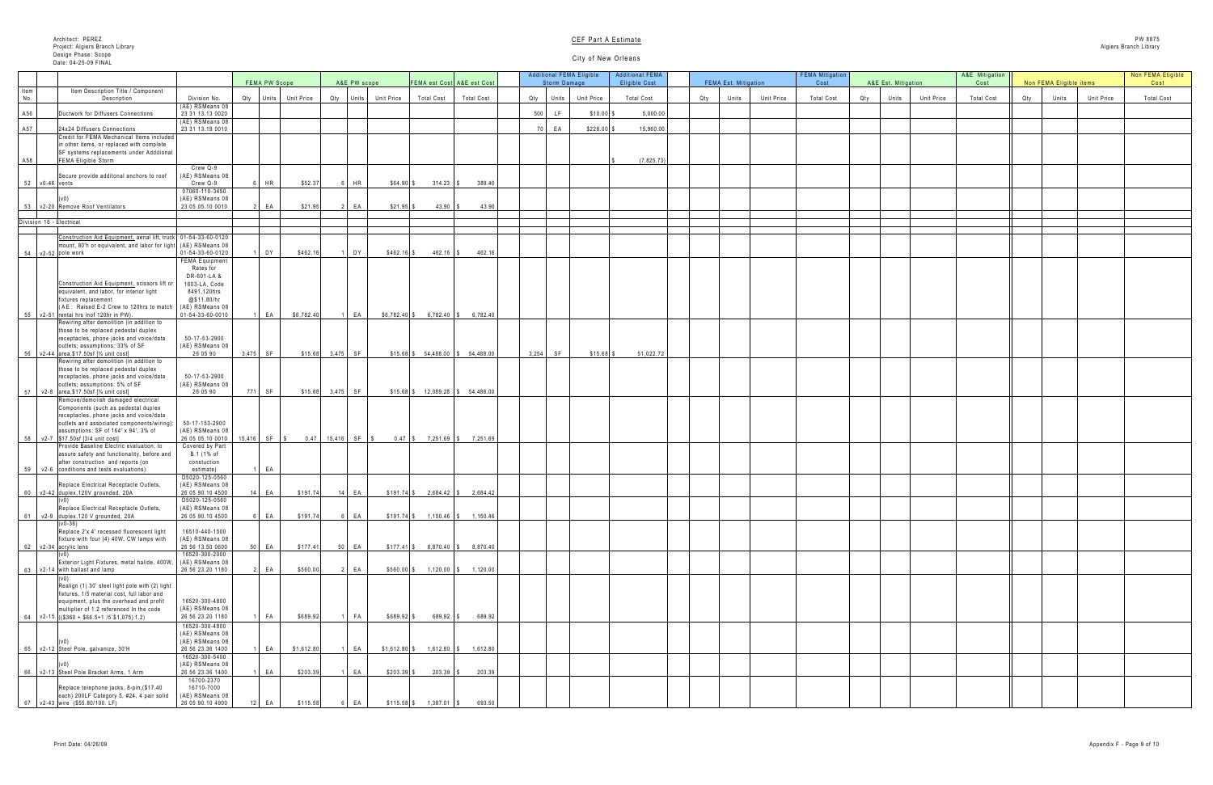|     | A&E Est. Mitigation |            | A&E Mitigation<br>Cost |     | Non FEMA Eligible items |            | Non FEMA Eligible<br>Cost |
|-----|---------------------|------------|------------------------|-----|-------------------------|------------|---------------------------|
| Qty | Units               | Unit Price | <b>Total Cost</b>      | Qty | Units                   | Unit Price | <b>Total Cost</b>         |
|     |                     |            |                        |     |                         |            |                           |
|     |                     |            |                        |     |                         |            |                           |
|     |                     |            |                        |     |                         |            |                           |
|     |                     |            |                        |     |                         |            |                           |
|     |                     |            |                        |     |                         |            |                           |
|     |                     |            |                        |     |                         |            |                           |
|     |                     |            |                        |     |                         |            |                           |
|     |                     |            |                        |     |                         |            |                           |
|     |                     |            |                        |     |                         |            |                           |
|     |                     |            |                        |     |                         |            |                           |
|     |                     |            |                        |     |                         |            |                           |
|     |                     |            |                        |     |                         |            |                           |
|     |                     |            |                        |     |                         |            |                           |
|     |                     |            |                        |     |                         |            |                           |
|     |                     |            |                        |     |                         |            |                           |
|     |                     |            |                        |     |                         |            |                           |
|     |                     |            |                        |     |                         |            |                           |
|     |                     |            |                        |     |                         |            |                           |
|     |                     |            |                        |     |                         |            |                           |
|     |                     |            |                        |     |                         |            |                           |
|     |                     |            |                        |     |                         |            |                           |
|     |                     |            |                        |     |                         |            |                           |
|     |                     |            |                        |     |                         |            |                           |
|     |                     |            |                        |     |                         |            |                           |
|     |                     |            |                        |     |                         |            |                           |
|     |                     |            |                        |     |                         |            |                           |
|     |                     |            |                        |     |                         |            |                           |
|     |                     |            |                        |     |                         |            |                           |
|     |                     |            |                        |     |                         |            |                           |
|     |                     |            |                        |     |                         |            |                           |
|     |                     |            |                        |     |                         |            |                           |
|     |                     |            |                        |     |                         |            |                           |
|     |                     |            |                        |     |                         |            |                           |
|     |                     |            |                        |     |                         |            |                           |
|     |                     |            |                        |     |                         |            |                           |
|     |                     |            |                        |     |                         |            |                           |
|     |                     |            |                        |     |                         |            |                           |
|     |                     |            |                        |     |                         |            |                           |
|     |                     |            |                        |     |                         |            |                           |
|     |                     |            |                        |     |                         |            |                           |
|     |                     |            |                        |     |                         |            |                           |

|      |                                                                                                                 |                                     |     |                  |            |                     |                   |                   |                                          | <b>Additional FEMA Eligible</b> |                   | <b>Additional FEMA</b> |                             |                   | <b>FEMA Mitigation</b> |     |                     |                   | A&E Mitigation    | Non FEMA Eligible items |       |                   | Non FEMA Eli      |
|------|-----------------------------------------------------------------------------------------------------------------|-------------------------------------|-----|------------------|------------|---------------------|-------------------|-------------------|------------------------------------------|---------------------------------|-------------------|------------------------|-----------------------------|-------------------|------------------------|-----|---------------------|-------------------|-------------------|-------------------------|-------|-------------------|-------------------|
| Item | Item Description Title / Component                                                                              |                                     |     | FEMA PW Scope    |            | A&E PW scope        |                   |                   | FEMA est Cost A&E est Cost               | Storm Damage                    |                   | Eligible Cost          | <b>FEMA Est. Mitigation</b> |                   | Cost                   |     | A&E Est. Mitigation |                   | Cost              |                         |       |                   | Cost              |
| No.  | Description                                                                                                     | Division No.<br>(AE) RSMeans 08     | Qty | Units Unit Price |            | Qty<br>Units        | <b>Unit Price</b> | <b>Total Cost</b> | <b>Total Cost</b>                        | Qty<br>Units                    | <b>Unit Price</b> | <b>Total Cost</b>      | Qty<br>Units                | <b>Unit Price</b> | <b>Total Cost</b>      | Qty | Units               | <b>Unit Price</b> | <b>Total Cost</b> | Qty                     | Units | <b>Unit Price</b> | <b>Total Cost</b> |
| A56  | Ductwork for Diffusers Connections                                                                              | 23 31 13.13 0020                    |     |                  |            |                     |                   |                   |                                          | 500                             | $$10.00$ \        | 5,000.00               |                             |                   |                        |     |                     |                   |                   |                         |       |                   |                   |
| A57  | 24x24 Diffusers Connections                                                                                     | (AE) RSMeans 08<br>23 31 13.19 0010 |     |                  |            |                     |                   |                   |                                          | EA                              | $$228.00$ \$      | 15,960.00              |                             |                   |                        |     |                     |                   |                   |                         |       |                   |                   |
|      | Credit for FEMA Mechanical Items included                                                                       |                                     |     |                  |            |                     |                   |                   |                                          |                                 |                   |                        |                             |                   |                        |     |                     |                   |                   |                         |       |                   |                   |
|      | in other items, or replaced with complete<br>SF systems replacements under Additional                           |                                     |     |                  |            |                     |                   |                   |                                          |                                 |                   |                        |                             |                   |                        |     |                     |                   |                   |                         |       |                   |                   |
| A58  | <b>FEMA Eligible Storm</b>                                                                                      | Crew Q-9                            |     |                  |            |                     |                   |                   |                                          |                                 |                   | (7,825.73)             |                             |                   |                        |     |                     |                   |                   |                         |       |                   |                   |
|      | Secure provide additonal anchors to roof                                                                        | (AE) RSMeans 08                     |     |                  |            |                     |                   |                   |                                          |                                 |                   |                        |                             |                   |                        |     |                     |                   |                   |                         |       |                   |                   |
| 52   | $\sqrt{0-46}$ vents                                                                                             | Crew Q-9<br>07060-110-3450          |     | <b>HR</b>        | \$52.37    | $\mathsf I$ HR      | $$64.90$ :        | $314.23$ \\$      | 389.40                                   |                                 |                   |                        |                             |                   |                        |     |                     |                   |                   |                         |       |                   |                   |
|      |                                                                                                                 | (AE) RSMeans 08                     |     |                  |            |                     |                   |                   |                                          |                                 |                   |                        |                             |                   |                        |     |                     |                   |                   |                         |       |                   |                   |
| 53   | v2-20 Remove Roof Ventilators                                                                                   | 23 05 05.10 0010                    |     | $E^{\sim}$       | \$21.95    | E                   | $$21.95$ \$       | $43.90$ \\$       | 43.90                                    |                                 |                   |                        |                             |                   |                        |     |                     |                   |                   |                         |       |                   |                   |
|      | Division 16 - Electrical                                                                                        |                                     |     |                  |            |                     |                   |                   |                                          |                                 |                   |                        |                             |                   |                        |     |                     |                   |                   |                         |       |                   |                   |
|      | Construction Aid Equipment, aerial lift, truck 01-54-33-60-0120                                                 |                                     |     |                  |            |                     |                   |                   |                                          |                                 |                   |                        |                             |                   |                        |     |                     |                   |                   |                         |       |                   |                   |
|      | mount, 80'h or equivalent, and labor for light<br>$54$ $v2-52$ pole work                                        | (AE) RSMeans 08<br>01-54-33-60-0120 |     | DY               | \$462.16   | $\vert$ DY          | $$462.16$ \$      | $462.16$ \\$      | 462.16                                   |                                 |                   |                        |                             |                   |                        |     |                     |                   |                   |                         |       |                   |                   |
|      |                                                                                                                 | <b>FEMA Equipment</b><br>Rates for  |     |                  |            |                     |                   |                   |                                          |                                 |                   |                        |                             |                   |                        |     |                     |                   |                   |                         |       |                   |                   |
|      |                                                                                                                 | DR-601-LA &                         |     |                  |            |                     |                   |                   |                                          |                                 |                   |                        |                             |                   |                        |     |                     |                   |                   |                         |       |                   |                   |
|      | Construction Aid Equipment, scissors lift or<br>equivalent, and labor, for interior light                       | 1603-LA, Code<br>8491,120hrs        |     |                  |            |                     |                   |                   |                                          |                                 |                   |                        |                             |                   |                        |     |                     |                   |                   |                         |       |                   |                   |
|      | fixtures replacement                                                                                            | @\$11.80/hr                         |     |                  |            |                     |                   |                   |                                          |                                 |                   |                        |                             |                   |                        |     |                     |                   |                   |                         |       |                   |                   |
|      | $(AE: Raised E-2$ Crew to 120hrs to match $(AE)$ RSMeans 08<br>$55$ $\sqrt{2-51}$ rental hrs inof 120hr in PW). | 01-54-33-60-0010                    |     | $E_A$            | \$6,782.40 | EA                  |                   |                   | $$6,782.40$ \$ 6,782.40 \$ 6,782.40      |                                 |                   |                        |                             |                   |                        |     |                     |                   |                   |                         |       |                   |                   |
|      | Rewiring after demolition (in addition to<br>those to be replaced pedestal duplex                               |                                     |     |                  |            |                     |                   |                   |                                          |                                 |                   |                        |                             |                   |                        |     |                     |                   |                   |                         |       |                   |                   |
|      | receptacles, phone jacks and voice/data                                                                         | 50-17-53-2900                       |     |                  |            |                     |                   |                   |                                          |                                 |                   |                        |                             |                   |                        |     |                     |                   |                   |                         |       |                   |                   |
|      | outlets; assumptions: 33% of SF<br>56 v2-44 area, \$17.50sf [3/4 unit cost]                                     | (AE) RSMeans 08<br>26 05 90         |     | $3,475$ SF       |            | $$15.68$ $3,475$ SF |                   |                   | $$15.68$ $$54,488.00$ $$54,488.00$       | 3,254<br>SF                     | $$15.68$ $$$      | 51,022.72              |                             |                   |                        |     |                     |                   |                   |                         |       |                   |                   |
|      | Rewiring after demolition (in addition to<br>those to be replaced pedestal duplex                               |                                     |     |                  |            |                     |                   |                   |                                          |                                 |                   |                        |                             |                   |                        |     |                     |                   |                   |                         |       |                   |                   |
|      | receptacles, phone jacks and voice/data                                                                         | 50-17-53-2900                       |     |                  |            |                     |                   |                   |                                          |                                 |                   |                        |                             |                   |                        |     |                     |                   |                   |                         |       |                   |                   |
|      | outlets; assumptions: 5% of SF<br>57   v2-8  area,\$17.50sf [¾ unit cost]                                       | (AE) RSMeans 08<br>26 05 90         |     | 771 SF           |            | $$15.68$ $3,475$ SF |                   |                   | $$15.68$ $$$ $12,089.28$ $$$ $54,488.00$ |                                 |                   |                        |                             |                   |                        |     |                     |                   |                   |                         |       |                   |                   |
|      | Remove/demolish damaged electrical                                                                              |                                     |     |                  |            |                     |                   |                   |                                          |                                 |                   |                        |                             |                   |                        |     |                     |                   |                   |                         |       |                   |                   |
|      | Components (such as pedestal duplex<br>receptacles, phone jacks and voice/data                                  |                                     |     |                  |            |                     |                   |                   |                                          |                                 |                   |                        |                             |                   |                        |     |                     |                   |                   |                         |       |                   |                   |
|      | outlets and associated components/wiring);<br>assumptions: SF of 164' x 94', 3% of                              | 50-17-153-2900<br>(AE) RSMeans 08   |     |                  |            |                     |                   |                   |                                          |                                 |                   |                        |                             |                   |                        |     |                     |                   |                   |                         |       |                   |                   |
|      | 58 v2-7 \$17.50sf [3/4 unit cost]                                                                               | 26 05 05.10 0010   15,416   SF   \$ |     |                  |            | $0.47$ 15,416 SF \$ |                   |                   | $0.47$   \$ 7,251.69   \$ 7,251.69       |                                 |                   |                        |                             |                   |                        |     |                     |                   |                   |                         |       |                   |                   |
|      | Provide Baseline Electric evaluation, to<br>assure safety and functionality, before and                         | Covered by Part<br>B.1 (1% of       |     |                  |            |                     |                   |                   |                                          |                                 |                   |                        |                             |                   |                        |     |                     |                   |                   |                         |       |                   |                   |
|      | after construction and reports (on<br>59 v2-6 conditions and tests evaluations)                                 | constuction<br>estimate)            |     | $E^A$            |            |                     |                   |                   |                                          |                                 |                   |                        |                             |                   |                        |     |                     |                   |                   |                         |       |                   |                   |
|      |                                                                                                                 | D5020-125-0560                      |     |                  |            |                     |                   |                   |                                          |                                 |                   |                        |                             |                   |                        |     |                     |                   |                   |                         |       |                   |                   |
|      | Replace Electrical Receptacle Outlets,<br>$60$ $\sqrt{2-42}$ duplex,120V grounded, 20A                          | (AE) RSMeans 08<br>26 05 90.10 4500 |     | 14   EA          | \$191.74   | $14$ EA             | $$191.74$ \$      |                   | $2,684.42$ \$ 2,684.42                   |                                 |                   |                        |                             |                   |                        |     |                     |                   |                   |                         |       |                   |                   |
|      | Replace Electrical Receptacle Outlets,                                                                          | D5020-125-0560<br>(AE) RSMeans 08   |     |                  |            |                     |                   |                   |                                          |                                 |                   |                        |                             |                   |                        |     |                     |                   |                   |                         |       |                   |                   |
|      | 61   $v2-9$  duplex, 120 V grounded, 20A                                                                        | 26 05 90.10 4500                    |     | 6 EA             | \$191.74   | 6 EA                | $$191.74$ \$      |                   | $1,150.46$ \$ $1,150.46$                 |                                 |                   |                        |                             |                   |                        |     |                     |                   |                   |                         |       |                   |                   |
|      | $(v0-36)$<br>Replace 2'x 4' recessed fluorescent light                                                          | 16510-440-1500                      |     |                  |            |                     |                   |                   |                                          |                                 |                   |                        |                             |                   |                        |     |                     |                   |                   |                         |       |                   |                   |
|      | fixture with four (4) 40W, CW lamps with<br>62 v2-34 acrylic lens                                               | (AE) RSMeans 08<br>26 56 13.50 0600 |     | $50$ EA          | \$177.41   | 50 EA               |                   |                   | $$177.41$ \$ 8,870.40 \\ \$ 8,870.40 \   |                                 |                   |                        |                             |                   |                        |     |                     |                   |                   |                         |       |                   |                   |
|      |                                                                                                                 | 16520-300-2000                      |     |                  |            |                     |                   |                   |                                          |                                 |                   |                        |                             |                   |                        |     |                     |                   |                   |                         |       |                   |                   |
|      | Exterior Light Fixtures, metal halide, 400W,<br>63 $\sqrt{2}$ -14 with ballast and lamp                         | (AE) RSMeans 08<br>26 56 23.20 1180 |     | $\parallel$ EA   | \$560.00   | $2$ EA              | $$560.00$ \$      |                   | $1,120.00$ \$ $1,120.00$                 |                                 |                   |                        |                             |                   |                        |     |                     |                   |                   |                         |       |                   |                   |
|      | Realign (1) 30' steel light pole with (2) light                                                                 |                                     |     |                  |            |                     |                   |                   |                                          |                                 |                   |                        |                             |                   |                        |     |                     |                   |                   |                         |       |                   |                   |
|      | fixtures, 1/5 material cost, full labor and                                                                     |                                     |     |                  |            |                     |                   |                   |                                          |                                 |                   |                        |                             |                   |                        |     |                     |                   |                   |                         |       |                   |                   |
|      | equipment, plus the overhead and profit<br>multiplier of 1.2 referenced In the code                             | 16520-300-4800<br>(AE) RSMeans 08   |     |                  |            |                     |                   |                   |                                          |                                 |                   |                        |                             |                   |                        |     |                     |                   |                   |                         |       |                   |                   |
|      | 64   v2-15   ((\$360 + \$66.5+1 /5`\$1,075) 1.2)                                                                | 26 56 23.20 1180                    |     | $F_A$            | \$689.92   | <b>FA</b>           | $$689.92$ \$      | $689.92$ \$       | 689.92                                   |                                 |                   |                        |                             |                   |                        |     |                     |                   |                   |                         |       |                   |                   |
|      |                                                                                                                 | 16520-300-4800<br>(AE) RSMeans 08   |     |                  |            |                     |                   |                   |                                          |                                 |                   |                        |                             |                   |                        |     |                     |                   |                   |                         |       |                   |                   |
|      | 65 v2-12 Steel Pole, galvanize, 30'H                                                                            | (AE) RSMeans 08<br>26 56 23.36 1400 |     | E A              | \$1,612.80 | FA                  | $$1,612.80$ \ \$  | $1,612.80$ \$     | 1,612.80                                 |                                 |                   |                        |                             |                   |                        |     |                     |                   |                   |                         |       |                   |                   |
|      |                                                                                                                 | 16520-300-5400                      |     |                  |            |                     |                   |                   |                                          |                                 |                   |                        |                             |                   |                        |     |                     |                   |                   |                         |       |                   |                   |
|      | 66 v2-13 Steel Pole Bracket Arms, 1 Arm                                                                         | (AE) RSMeans 08<br>26 56 23.36 1400 |     | E A              | \$203.39   | EA                  | $$203.39$ \$      | $203.39$ \$       | 203.39                                   |                                 |                   |                        |                             |                   |                        |     |                     |                   |                   |                         |       |                   |                   |
|      | Replace telephone jacks, 8-pin, (\$17.40                                                                        | 16700-2370<br>16710-7000            |     |                  |            |                     |                   |                   |                                          |                                 |                   |                        |                             |                   |                        |     |                     |                   |                   |                         |       |                   |                   |
|      | each) 200LF Category 5, #24, 4 pair solid                                                                       | (AE) RSMeans 08                     |     |                  |            |                     |                   |                   |                                          |                                 |                   |                        |                             |                   |                        |     |                     |                   |                   |                         |       |                   |                   |
|      | 67   v2-43   wire (\$55.80/100. LF)                                                                             | 26 05 90.10 4900                    |     | $12$ EA          | \$115.58   | EA                  | $$115.58$ \$      | $1,387.01$ \$     | 693.50                                   |                                 |                   |                        |                             |                   |                        |     |                     |                   |                   |                         |       |                   |                   |